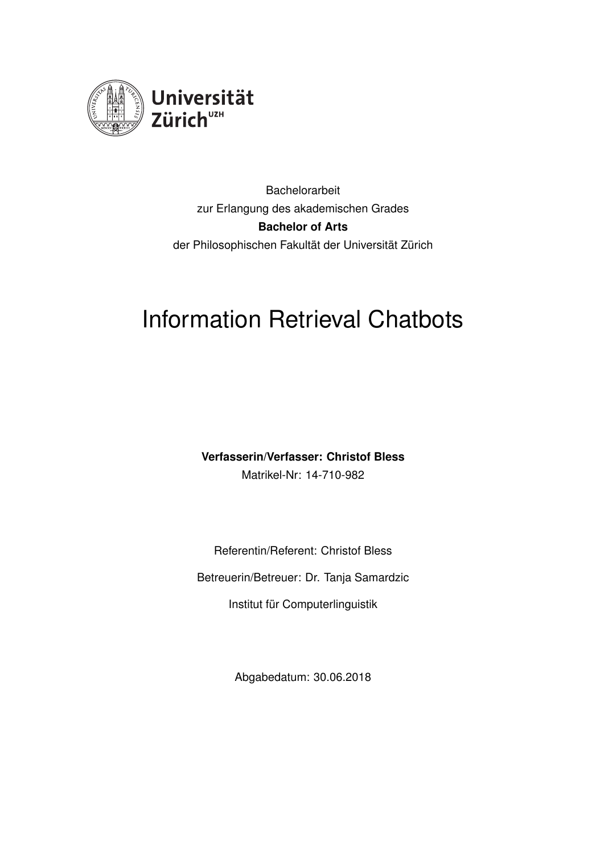

Bachelorarbeit zur Erlangung des akademischen Grades **Bachelor of Arts** der Philosophischen Fakultät der Universität Zürich

# Information Retrieval Chatbots

**Verfasserin/Verfasser: Christof Bless** Matrikel-Nr: 14-710-982

Referentin/Referent: Christof Bless Betreuerin/Betreuer: Dr. Tanja Samardzic Institut für Computerlinguistik

Abgabedatum: 30.06.2018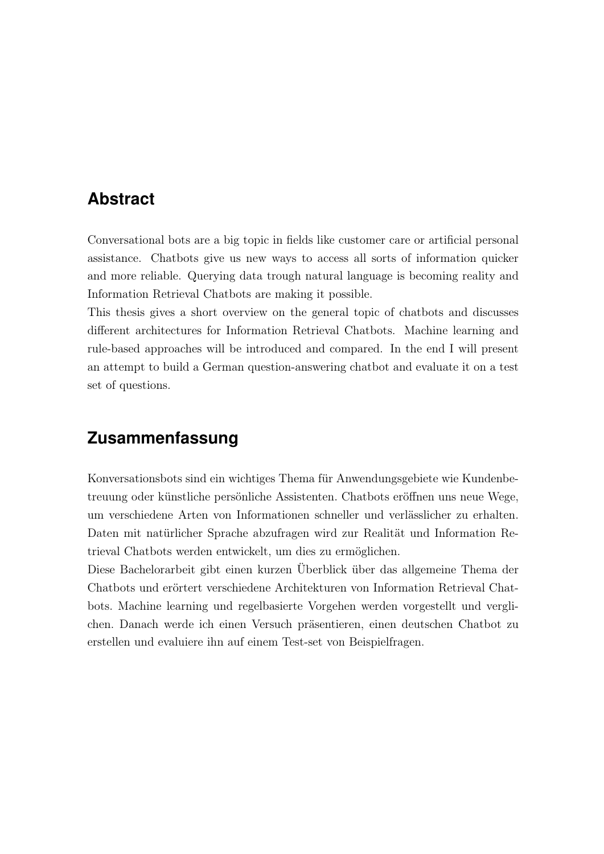## <span id="page-1-0"></span>**Abstract**

Conversational bots are a big topic in fields like customer care or artificial personal assistance. Chatbots give us new ways to access all sorts of information quicker and more reliable. Querying data trough natural language is becoming reality and Information Retrieval Chatbots are making it possible.

This thesis gives a short overview on the general topic of chatbots and discusses different architectures for Information Retrieval Chatbots. Machine learning and rule-based approaches will be introduced and compared. In the end I will present an attempt to build a German question-answering chatbot and evaluate it on a test set of questions.

## **Zusammenfassung**

Konversationsbots sind ein wichtiges Thema für Anwendungsgebiete wie Kundenbetreuung oder künstliche persönliche Assistenten. Chatbots eröffnen uns neue Wege, um verschiedene Arten von Informationen schneller und verlässlicher zu erhalten. Daten mit natürlicher Sprache abzufragen wird zur Realität und Information Retrieval Chatbots werden entwickelt, um dies zu ermöglichen.

Diese Bachelorarbeit gibt einen kurzen Überblick über das allgemeine Thema der Chatbots und erörtert verschiedene Architekturen von Information Retrieval Chatbots. Machine learning und regelbasierte Vorgehen werden vorgestellt und verglichen. Danach werde ich einen Versuch präsentieren, einen deutschen Chatbot zu erstellen und evaluiere ihn auf einem Test-set von Beispielfragen.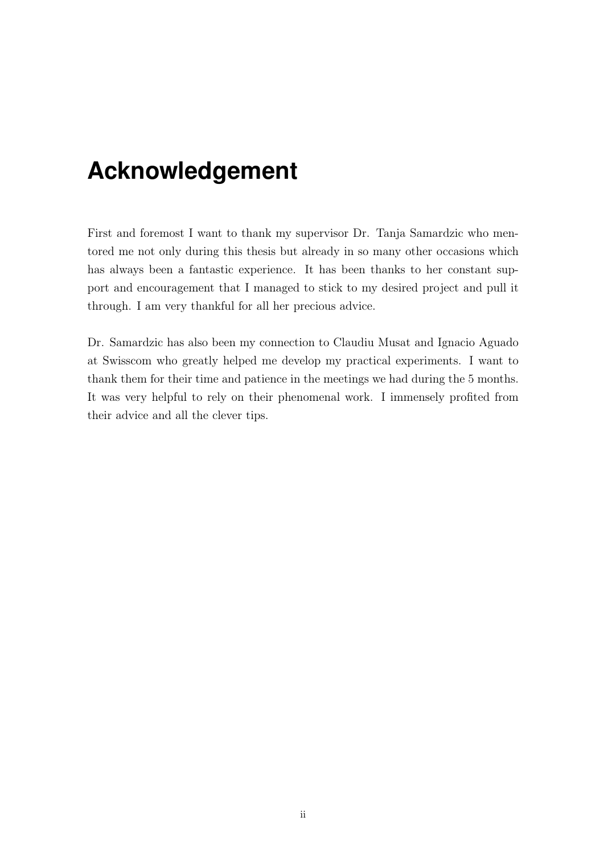# <span id="page-2-0"></span>**Acknowledgement**

First and foremost I want to thank my supervisor Dr. Tanja Samardzic who mentored me not only during this thesis but already in so many other occasions which has always been a fantastic experience. It has been thanks to her constant support and encouragement that I managed to stick to my desired project and pull it through. I am very thankful for all her precious advice.

Dr. Samardzic has also been my connection to Claudiu Musat and Ignacio Aguado at Swisscom who greatly helped me develop my practical experiments. I want to thank them for their time and patience in the meetings we had during the 5 months. It was very helpful to rely on their phenomenal work. I immensely profited from their advice and all the clever tips.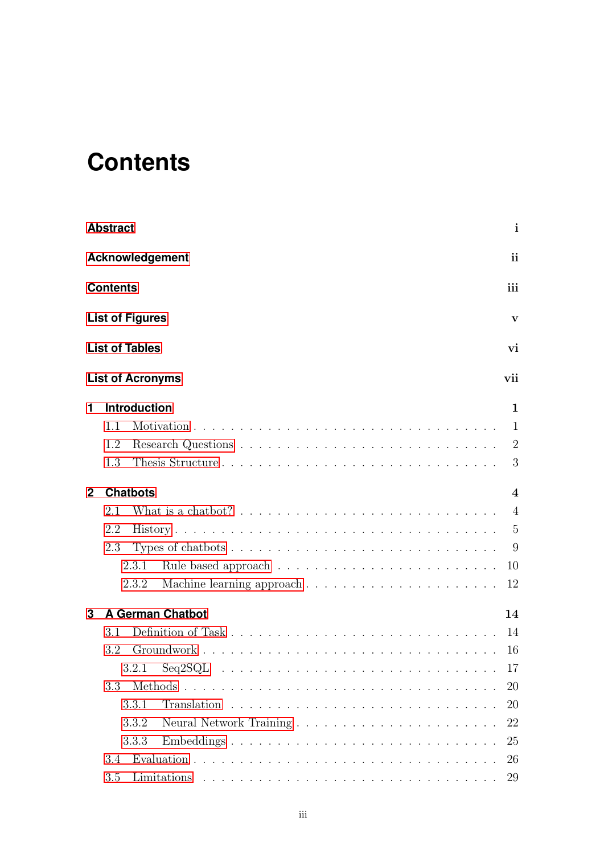# <span id="page-3-0"></span>**Contents**

|                | <b>Abstract</b>                                                                                                                             | $\mathbf{i}$    |
|----------------|---------------------------------------------------------------------------------------------------------------------------------------------|-----------------|
|                | <b>Acknowledgement</b>                                                                                                                      | <i>ii</i>       |
|                | <b>Contents</b>                                                                                                                             | iii             |
|                | <b>List of Figures</b>                                                                                                                      | V               |
|                | <b>List of Tables</b>                                                                                                                       | vi              |
|                | <b>List of Acronyms</b>                                                                                                                     | vii             |
| 1              | <b>Introduction</b>                                                                                                                         | $\mathbf 1$     |
|                | 1.1                                                                                                                                         | 1               |
|                | 1.2                                                                                                                                         | 2               |
|                | Thesis Structure<br>1.3                                                                                                                     | 3               |
| $\overline{2}$ | <b>Chatbots</b>                                                                                                                             | $\overline{4}$  |
|                | 2.1                                                                                                                                         | $\overline{4}$  |
|                | 2.2                                                                                                                                         | $5\overline{)}$ |
|                | 2.3                                                                                                                                         | 9               |
|                | 2.3.1                                                                                                                                       | 10              |
|                | 2.3.2                                                                                                                                       | 12              |
| 3              | <b>A German Chatbot</b>                                                                                                                     | 14              |
|                | 3.1                                                                                                                                         | 14              |
|                | 3.2                                                                                                                                         | -16             |
|                | $Seq2SQL \ldots \ldots \ldots \ldots \ldots \ldots \ldots \ldots \ldots \ldots \ldots$<br>3.2.1                                             | -17             |
|                | 3.3                                                                                                                                         | 20              |
|                | 3.3.1                                                                                                                                       | 20              |
|                | 3.3.2                                                                                                                                       | 22              |
|                | 3.3.3<br>Embeddings                                                                                                                         | 25              |
|                | 3.4                                                                                                                                         | 26              |
|                | 3.5<br>Limitations<br><u>. A series a serie a serie a serie a serie a serie a serie a serie a serie a serie a serie a serie a serie a s</u> | 29              |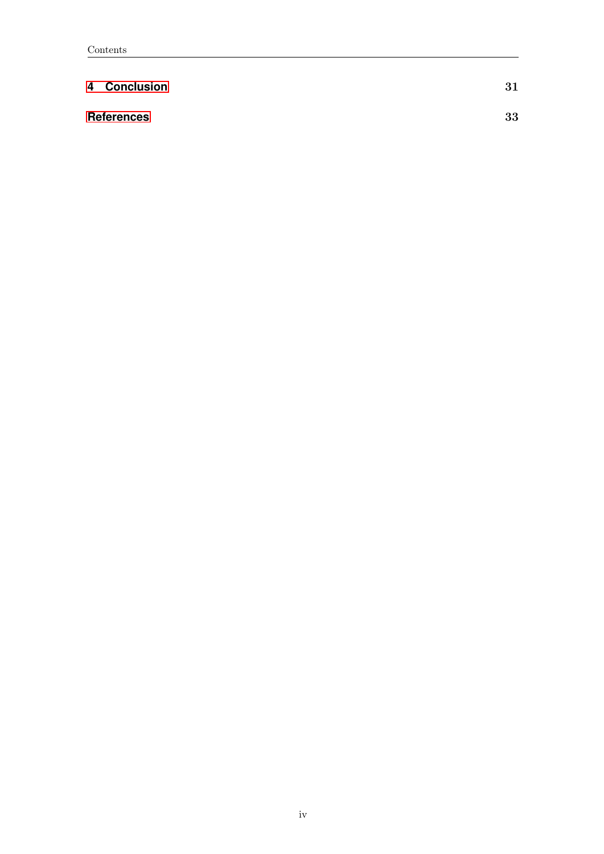| 4 Conclusion      | 31 |
|-------------------|----|
| <b>References</b> | 33 |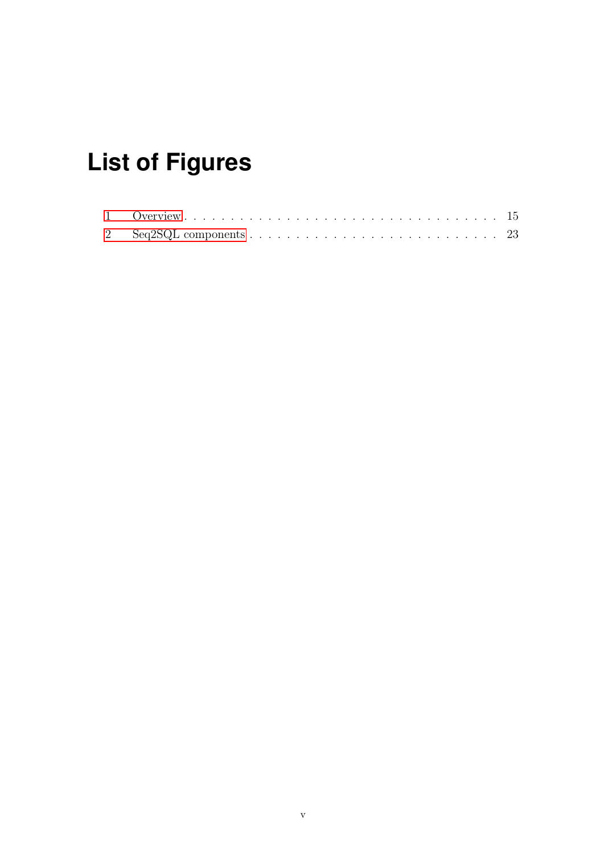# <span id="page-5-0"></span>**List of Figures**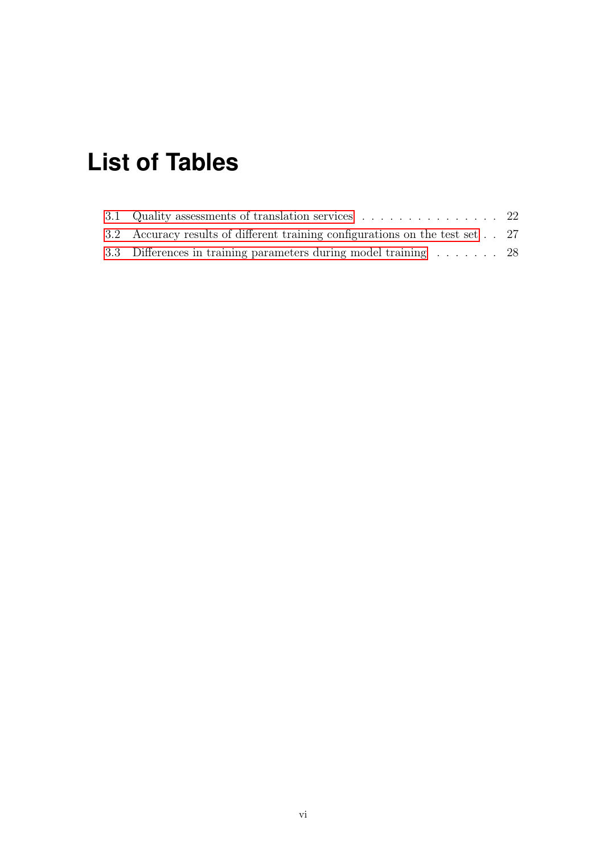# <span id="page-6-0"></span>**List of Tables**

| 3.2 Accuracy results of different training configurations on the test set 27 |  |
|------------------------------------------------------------------------------|--|
| 3.3 Differences in training parameters during model training 28              |  |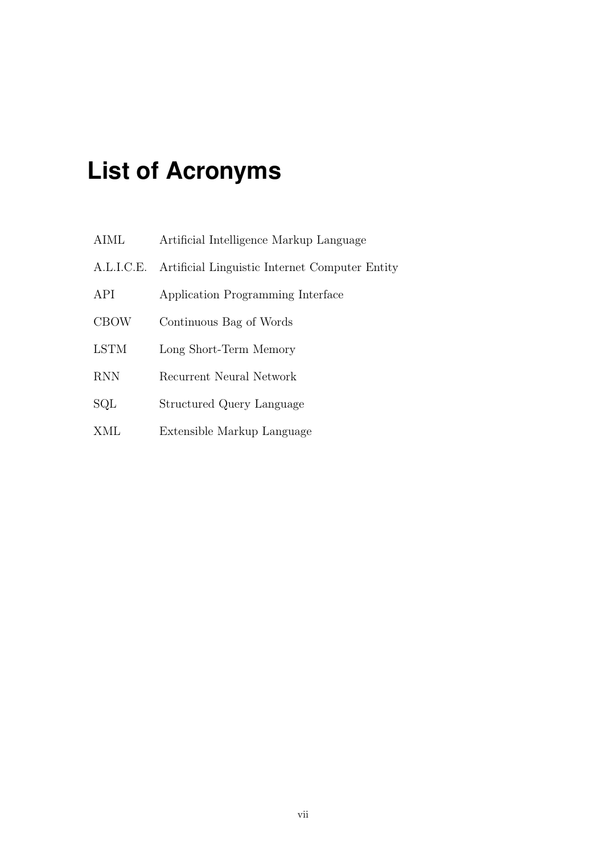# <span id="page-7-0"></span>**List of Acronyms**

| AIML        | Artificial Intelligence Markup Language        |
|-------------|------------------------------------------------|
| A.L.I.C.E.  | Artificial Linguistic Internet Computer Entity |
| API         | Application Programming Interface              |
| <b>CBOW</b> | Continuous Bag of Words                        |
| <b>LSTM</b> | Long Short-Term Memory                         |
| <b>RNN</b>  | Recurrent Neural Network                       |
| SQL         | Structured Query Language                      |
| XML         | Extensible Markup Language                     |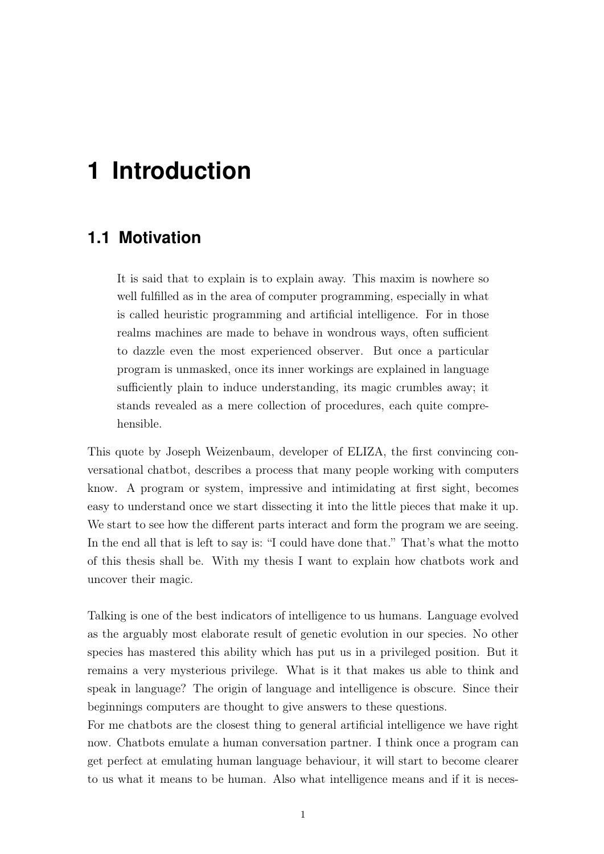# <span id="page-8-0"></span>**1 Introduction**

## <span id="page-8-1"></span>**1.1 Motivation**

It is said that to explain is to explain away. This maxim is nowhere so well fulfilled as in the area of computer programming, especially in what is called heuristic programming and artificial intelligence. For in those realms machines are made to behave in wondrous ways, often sufficient to dazzle even the most experienced observer. But once a particular program is unmasked, once its inner workings are explained in language sufficiently plain to induce understanding, its magic crumbles away; it stands revealed as a mere collection of procedures, each quite comprehensible.

This quote by Joseph Weizenbaum, developer of ELIZA, the first convincing conversational chatbot, describes a process that many people working with computers know. A program or system, impressive and intimidating at first sight, becomes easy to understand once we start dissecting it into the little pieces that make it up. We start to see how the different parts interact and form the program we are seeing. In the end all that is left to say is: "I could have done that." That's what the motto of this thesis shall be. With my thesis I want to explain how chatbots work and uncover their magic.

Talking is one of the best indicators of intelligence to us humans. Language evolved as the arguably most elaborate result of genetic evolution in our species. No other species has mastered this ability which has put us in a privileged position. But it remains a very mysterious privilege. What is it that makes us able to think and speak in language? The origin of language and intelligence is obscure. Since their beginnings computers are thought to give answers to these questions.

For me chatbots are the closest thing to general artificial intelligence we have right now. Chatbots emulate a human conversation partner. I think once a program can get perfect at emulating human language behaviour, it will start to become clearer to us what it means to be human. Also what intelligence means and if it is neces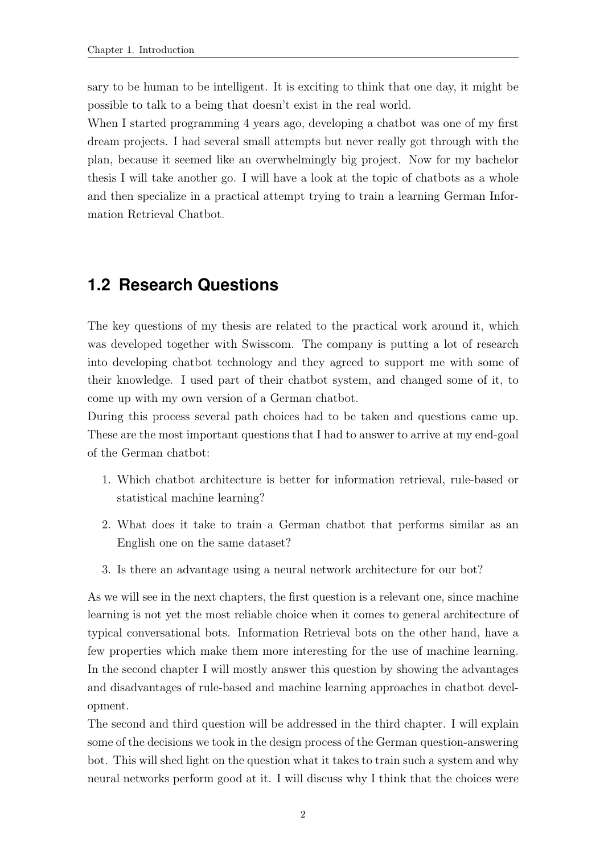sary to be human to be intelligent. It is exciting to think that one day, it might be possible to talk to a being that doesn't exist in the real world.

When I started programming 4 years ago, developing a chatbot was one of my first dream projects. I had several small attempts but never really got through with the plan, because it seemed like an overwhelmingly big project. Now for my bachelor thesis I will take another go. I will have a look at the topic of chatbots as a whole and then specialize in a practical attempt trying to train a learning German Information Retrieval Chatbot.

### <span id="page-9-0"></span>**1.2 Research Questions**

The key questions of my thesis are related to the practical work around it, which was developed together with Swisscom. The company is putting a lot of research into developing chatbot technology and they agreed to support me with some of their knowledge. I used part of their chatbot system, and changed some of it, to come up with my own version of a German chatbot.

During this process several path choices had to be taken and questions came up. These are the most important questions that I had to answer to arrive at my end-goal of the German chatbot:

- 1. Which chatbot architecture is better for information retrieval, rule-based or statistical machine learning?
- 2. What does it take to train a German chatbot that performs similar as an English one on the same dataset?
- 3. Is there an advantage using a neural network architecture for our bot?

As we will see in the next chapters, the first question is a relevant one, since machine learning is not yet the most reliable choice when it comes to general architecture of typical conversational bots. Information Retrieval bots on the other hand, have a few properties which make them more interesting for the use of machine learning. In the second chapter I will mostly answer this question by showing the advantages and disadvantages of rule-based and machine learning approaches in chatbot development.

The second and third question will be addressed in the third chapter. I will explain some of the decisions we took in the design process of the German question-answering bot. This will shed light on the question what it takes to train such a system and why neural networks perform good at it. I will discuss why I think that the choices were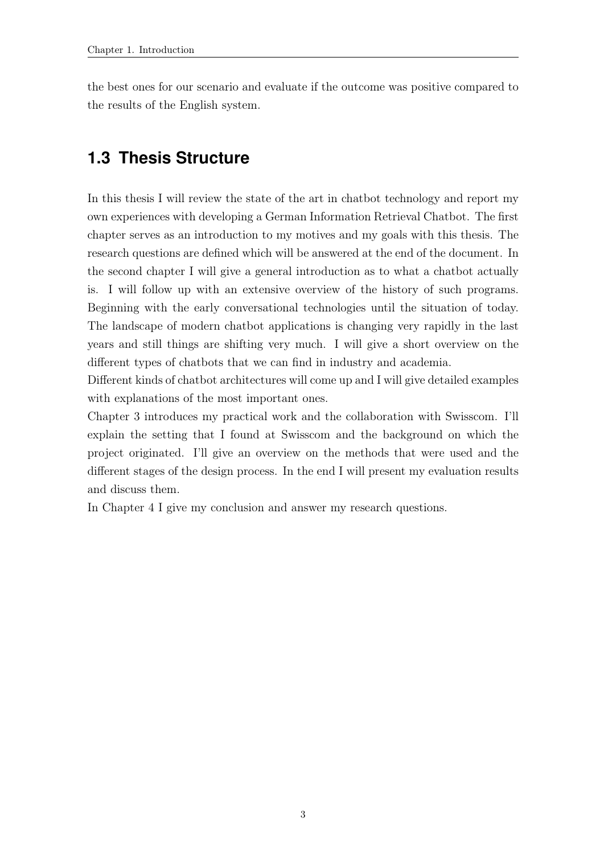the best ones for our scenario and evaluate if the outcome was positive compared to the results of the English system.

## <span id="page-10-0"></span>**1.3 Thesis Structure**

In this thesis I will review the state of the art in chatbot technology and report my own experiences with developing a German Information Retrieval Chatbot. The first chapter serves as an introduction to my motives and my goals with this thesis. The research questions are defined which will be answered at the end of the document. In the second chapter I will give a general introduction as to what a chatbot actually is. I will follow up with an extensive overview of the history of such programs. Beginning with the early conversational technologies until the situation of today. The landscape of modern chatbot applications is changing very rapidly in the last years and still things are shifting very much. I will give a short overview on the different types of chatbots that we can find in industry and academia.

Different kinds of chatbot architectures will come up and I will give detailed examples with explanations of the most important ones.

Chapter 3 introduces my practical work and the collaboration with Swisscom. I'll explain the setting that I found at Swisscom and the background on which the project originated. I'll give an overview on the methods that were used and the different stages of the design process. In the end I will present my evaluation results and discuss them.

In Chapter 4 I give my conclusion and answer my research questions.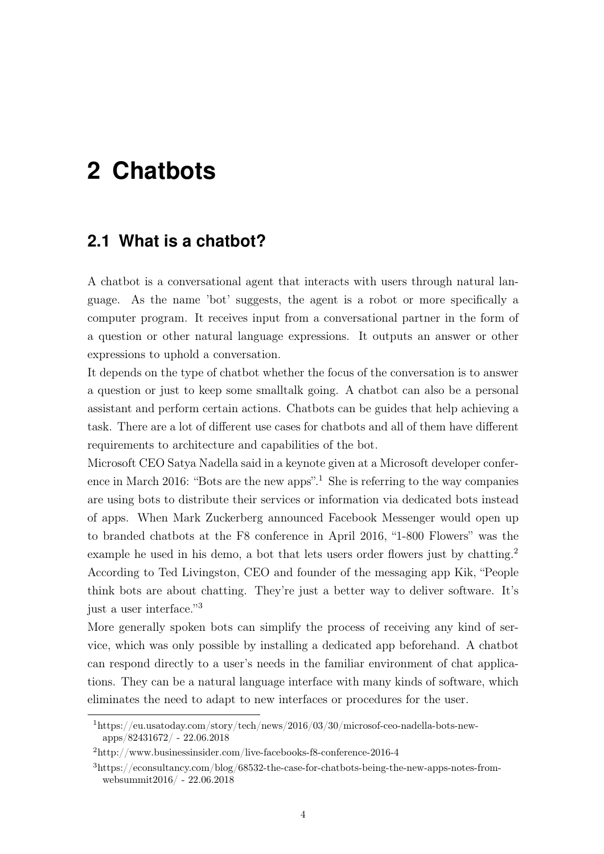# <span id="page-11-0"></span>**2 Chatbots**

## <span id="page-11-1"></span>**2.1 What is a chatbot?**

A chatbot is a conversational agent that interacts with users through natural language. As the name 'bot' suggests, the agent is a robot or more specifically a computer program. It receives input from a conversational partner in the form of a question or other natural language expressions. It outputs an answer or other expressions to uphold a conversation.

It depends on the type of chatbot whether the focus of the conversation is to answer a question or just to keep some smalltalk going. A chatbot can also be a personal assistant and perform certain actions. Chatbots can be guides that help achieving a task. There are a lot of different use cases for chatbots and all of them have different requirements to architecture and capabilities of the bot.

Microsoft CEO Satya Nadella said in a keynote given at a Microsoft developer conference in March 2016: "Bots are the new apps".<sup>1</sup> She is referring to the way companies are using bots to distribute their services or information via dedicated bots instead of apps. When Mark Zuckerberg announced Facebook Messenger would open up to branded chatbots at the F8 conference in April 2016, "1-800 Flowers" was the example he used in his demo, a bot that lets users order flowers just by chatting.<sup>2</sup> According to Ted Livingston, CEO and founder of the messaging app Kik, "People think bots are about chatting. They're just a better way to deliver software. It's just a user interface."<sup>3</sup>

More generally spoken bots can simplify the process of receiving any kind of service, which was only possible by installing a dedicated app beforehand. A chatbot can respond directly to a user's needs in the familiar environment of chat applications. They can be a natural language interface with many kinds of software, which eliminates the need to adapt to new interfaces or procedures for the user.

<sup>1</sup>https://eu.usatoday.com/story/tech/news/2016/03/30/microsof-ceo-nadella-bots-newapps/82431672/ - 22.06.2018

<sup>2</sup>http://www.businessinsider.com/live-facebooks-f8-conference-2016-4

<sup>3</sup>https://econsultancy.com/blog/68532-the-case-for-chatbots-being-the-new-apps-notes-fromwebsummit2016/ - 22.06.2018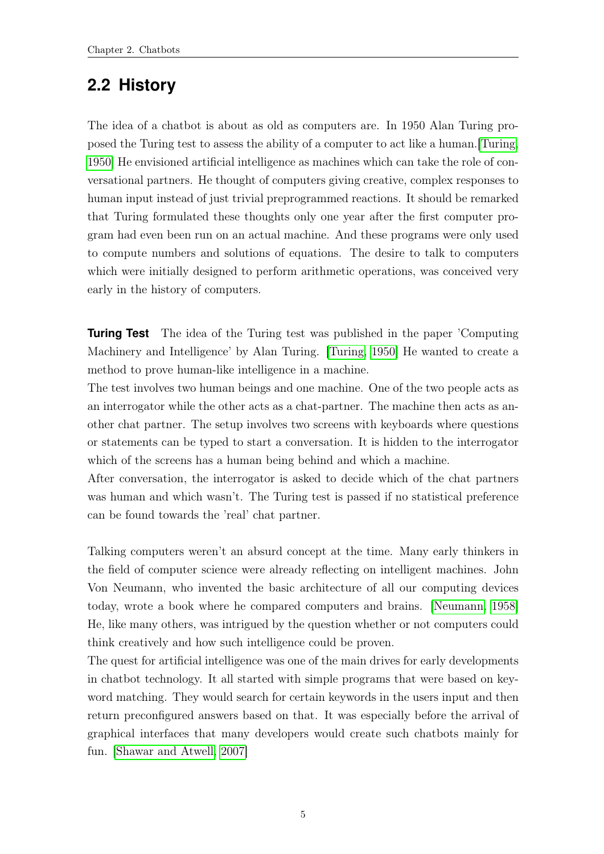# <span id="page-12-0"></span>**2.2 History**

The idea of a chatbot is about as old as computers are. In 1950 Alan Turing proposed the Turing test to assess the ability of a computer to act like a human.[\[Turing,](#page-41-0) [1950\]](#page-41-0) He envisioned artificial intelligence as machines which can take the role of conversational partners. He thought of computers giving creative, complex responses to human input instead of just trivial preprogrammed reactions. It should be remarked that Turing formulated these thoughts only one year after the first computer program had even been run on an actual machine. And these programs were only used to compute numbers and solutions of equations. The desire to talk to computers which were initially designed to perform arithmetic operations, was conceived very early in the history of computers.

**Turing Test** The idea of the Turing test was published in the paper 'Computing Machinery and Intelligence' by Alan Turing. [\[Turing, 1950\]](#page-41-0) He wanted to create a method to prove human-like intelligence in a machine.

The test involves two human beings and one machine. One of the two people acts as an interrogator while the other acts as a chat-partner. The machine then acts as another chat partner. The setup involves two screens with keyboards where questions or statements can be typed to start a conversation. It is hidden to the interrogator which of the screens has a human being behind and which a machine.

After conversation, the interrogator is asked to decide which of the chat partners was human and which wasn't. The Turing test is passed if no statistical preference can be found towards the 'real' chat partner.

Talking computers weren't an absurd concept at the time. Many early thinkers in the field of computer science were already reflecting on intelligent machines. John Von Neumann, who invented the basic architecture of all our computing devices today, wrote a book where he compared computers and brains. [\[Neumann, 1958\]](#page-41-1) He, like many others, was intrigued by the question whether or not computers could think creatively and how such intelligence could be proven.

The quest for artificial intelligence was one of the main drives for early developments in chatbot technology. It all started with simple programs that were based on keyword matching. They would search for certain keywords in the users input and then return preconfigured answers based on that. It was especially before the arrival of graphical interfaces that many developers would create such chatbots mainly for fun. [\[Shawar and Atwell, 2007\]](#page-41-2)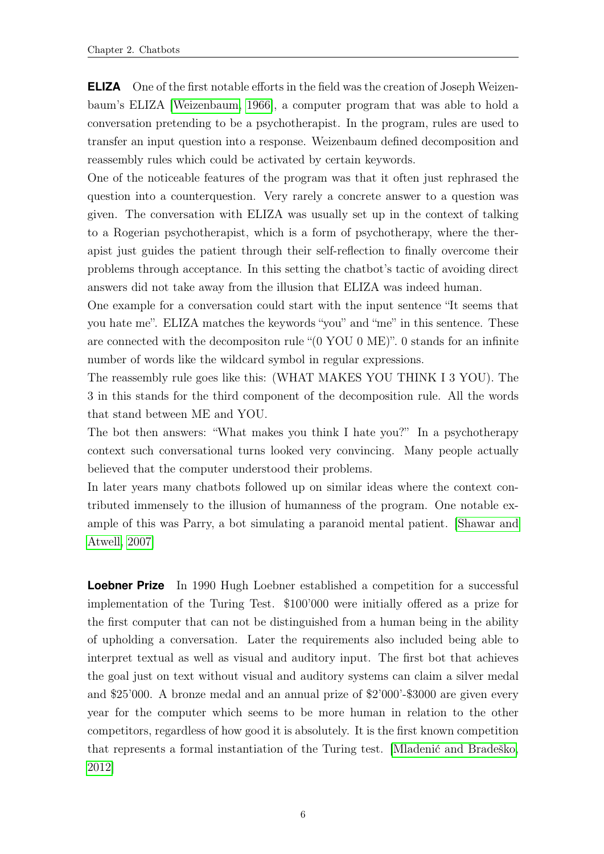**ELIZA** One of the first notable efforts in the field was the creation of Joseph Weizenbaum's ELIZA [\[Weizenbaum, 1966\]](#page-42-0), a computer program that was able to hold a conversation pretending to be a psychotherapist. In the program, rules are used to transfer an input question into a response. Weizenbaum defined decomposition and reassembly rules which could be activated by certain keywords.

One of the noticeable features of the program was that it often just rephrased the question into a counterquestion. Very rarely a concrete answer to a question was given. The conversation with ELIZA was usually set up in the context of talking to a Rogerian psychotherapist, which is a form of psychotherapy, where the therapist just guides the patient through their self-reflection to finally overcome their problems through acceptance. In this setting the chatbot's tactic of avoiding direct answers did not take away from the illusion that ELIZA was indeed human.

One example for a conversation could start with the input sentence "It seems that you hate me". ELIZA matches the keywords "you" and "me" in this sentence. These are connected with the decompositon rule "(0 YOU 0 ME)". 0 stands for an infinite number of words like the wildcard symbol in regular expressions.

The reassembly rule goes like this: (WHAT MAKES YOU THINK I 3 YOU). The 3 in this stands for the third component of the decomposition rule. All the words that stand between ME and YOU.

The bot then answers: "What makes you think I hate you?" In a psychotherapy context such conversational turns looked very convincing. Many people actually believed that the computer understood their problems.

In later years many chatbots followed up on similar ideas where the context contributed immensely to the illusion of humanness of the program. One notable example of this was Parry, a bot simulating a paranoid mental patient. [\[Shawar and](#page-41-2) [Atwell, 2007\]](#page-41-2)

**Loebner Prize** In 1990 Hugh Loebner established a competition for a successful implementation of the Turing Test. \$100'000 were initially offered as a prize for the first computer that can not be distinguished from a human being in the ability of upholding a conversation. Later the requirements also included being able to interpret textual as well as visual and auditory input. The first bot that achieves the goal just on text without visual and auditory systems can claim a silver medal and \$25'000. A bronze medal and an annual prize of \$2'000'-\$3000 are given every year for the computer which seems to be more human in relation to the other competitors, regardless of how good it is absolutely. It is the first known competition that represents a formal instantiation of the Turing test. [\[Mladenić and Bradeško,](#page-41-3) [2012\]](#page-41-3)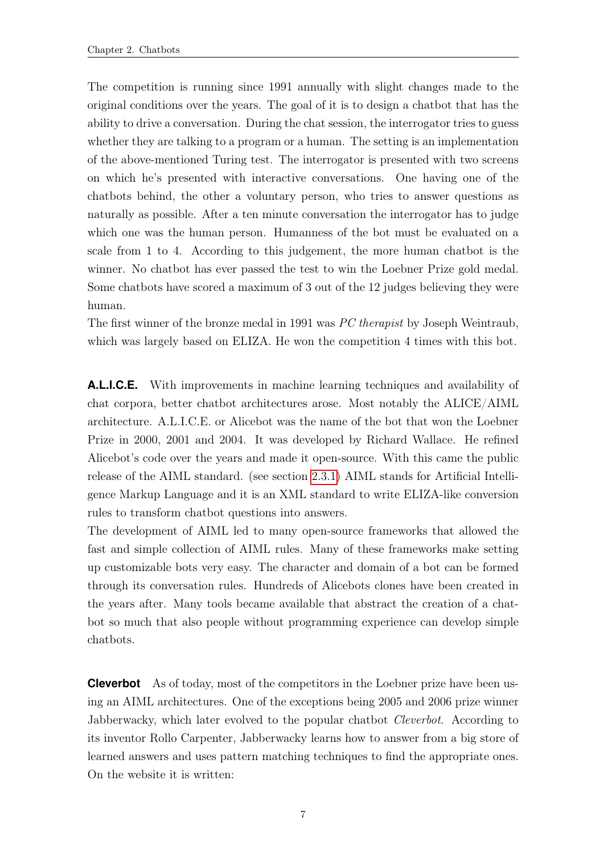The competition is running since 1991 annually with slight changes made to the original conditions over the years. The goal of it is to design a chatbot that has the ability to drive a conversation. During the chat session, the interrogator tries to guess whether they are talking to a program or a human. The setting is an implementation of the above-mentioned Turing test. The interrogator is presented with two screens on which he's presented with interactive conversations. One having one of the chatbots behind, the other a voluntary person, who tries to answer questions as naturally as possible. After a ten minute conversation the interrogator has to judge which one was the human person. Humanness of the bot must be evaluated on a scale from 1 to 4. According to this judgement, the more human chatbot is the winner. No chatbot has ever passed the test to win the Loebner Prize gold medal. Some chatbots have scored a maximum of 3 out of the 12 judges believing they were human.

The first winner of the bronze medal in 1991 was PC therapist by Joseph Weintraub, which was largely based on ELIZA. He won the competition 4 times with this bot.

**A.L.I.C.E.** With improvements in machine learning techniques and availability of chat corpora, better chatbot architectures arose. Most notably the ALICE/AIML architecture. A.L.I.C.E. or Alicebot was the name of the bot that won the Loebner Prize in 2000, 2001 and 2004. It was developed by Richard Wallace. He refined Alicebot's code over the years and made it open-source. With this came the public release of the AIML standard. (see section [2.3.1\)](#page-17-0) AIML stands for Artificial Intelligence Markup Language and it is an XML standard to write ELIZA-like conversion rules to transform chatbot questions into answers.

The development of AIML led to many open-source frameworks that allowed the fast and simple collection of AIML rules. Many of these frameworks make setting up customizable bots very easy. The character and domain of a bot can be formed through its conversation rules. Hundreds of Alicebots clones have been created in the years after. Many tools became available that abstract the creation of a chatbot so much that also people without programming experience can develop simple chatbots.

**Cleverbot** As of today, most of the competitors in the Loebner prize have been using an AIML architectures. One of the exceptions being 2005 and 2006 prize winner Jabberwacky, which later evolved to the popular chatbot *Cleverbot*. According to its inventor Rollo Carpenter, Jabberwacky learns how to answer from a big store of learned answers and uses pattern matching techniques to find the appropriate ones. On the website it is written: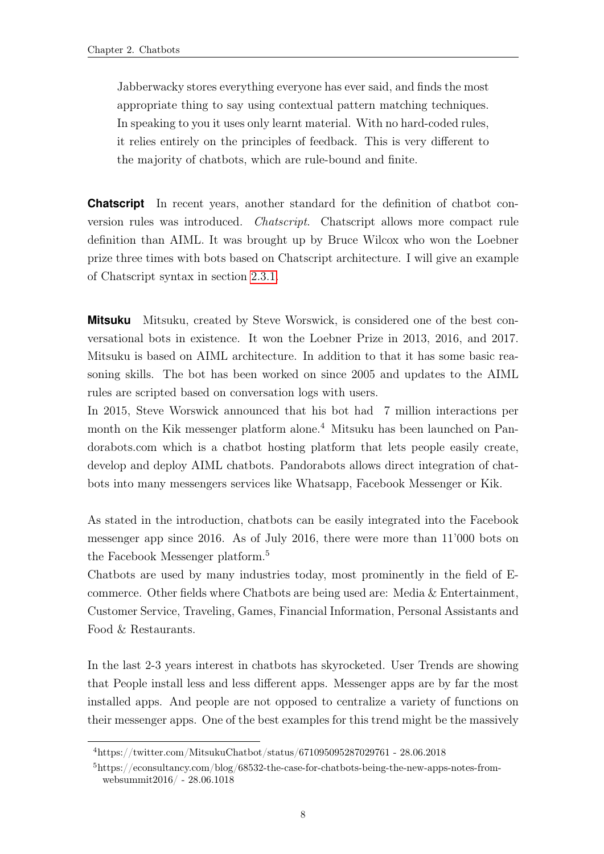Jabberwacky stores everything everyone has ever said, and finds the most appropriate thing to say using contextual pattern matching techniques. In speaking to you it uses only learnt material. With no hard-coded rules, it relies entirely on the principles of feedback. This is very different to the majority of chatbots, which are rule-bound and finite.

**Chatscript** In recent years, another standard for the definition of chatbot conversion rules was introduced. Chatscript. Chatscript allows more compact rule definition than AIML. It was brought up by Bruce Wilcox who won the Loebner prize three times with bots based on Chatscript architecture. I will give an example of Chatscript syntax in section [2.3.1.](#page-17-0)

**Mitsuku** Mitsuku, created by Steve Worswick, is considered one of the best conversational bots in existence. It won the Loebner Prize in 2013, 2016, and 2017. Mitsuku is based on AIML architecture. In addition to that it has some basic reasoning skills. The bot has been worked on since 2005 and updates to the AIML rules are scripted based on conversation logs with users.

In 2015, Steve Worswick announced that his bot had 7 million interactions per month on the Kik messenger platform alone.<sup>4</sup> Mitsuku has been launched on Pandorabots.com which is a chatbot hosting platform that lets people easily create, develop and deploy AIML chatbots. Pandorabots allows direct integration of chatbots into many messengers services like Whatsapp, Facebook Messenger or Kik.

As stated in the introduction, chatbots can be easily integrated into the Facebook messenger app since 2016. As of July 2016, there were more than 11'000 bots on the Facebook Messenger platform.<sup>5</sup>

Chatbots are used by many industries today, most prominently in the field of Ecommerce. Other fields where Chatbots are being used are: Media & Entertainment, Customer Service, Traveling, Games, Financial Information, Personal Assistants and Food & Restaurants.

In the last 2-3 years interest in chatbots has skyrocketed. User Trends are showing that People install less and less different apps. Messenger apps are by far the most installed apps. And people are not opposed to centralize a variety of functions on their messenger apps. One of the best examples for this trend might be the massively

 $^4\rm{https://whiter.com/MitsukuChatbot/status/671095095287029761}$  -  $28.06.2018$ 

<sup>5</sup>https://econsultancy.com/blog/68532-the-case-for-chatbots-being-the-new-apps-notes-fromwebsummit2016/ - 28.06.1018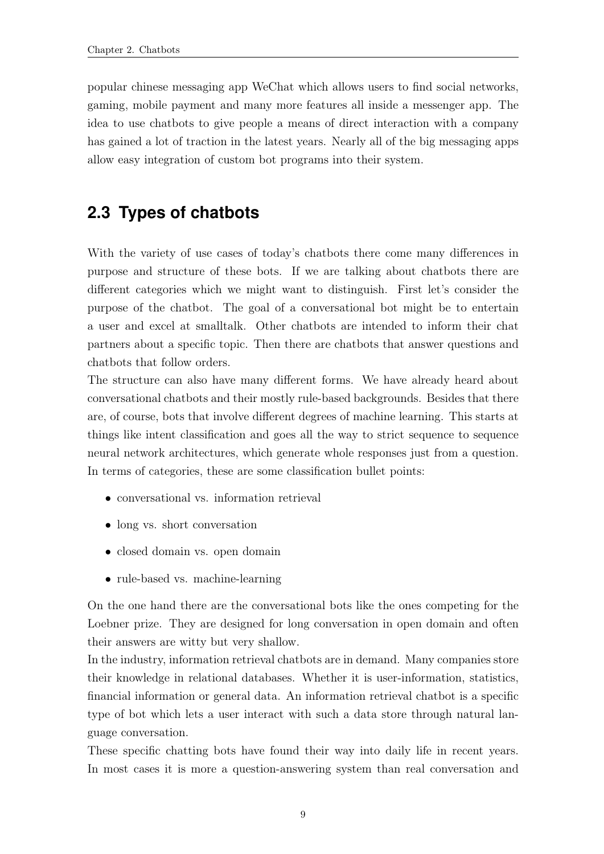popular chinese messaging app WeChat which allows users to find social networks, gaming, mobile payment and many more features all inside a messenger app. The idea to use chatbots to give people a means of direct interaction with a company has gained a lot of traction in the latest years. Nearly all of the big messaging apps allow easy integration of custom bot programs into their system.

# <span id="page-16-0"></span>**2.3 Types of chatbots**

With the variety of use cases of today's chatbots there come many differences in purpose and structure of these bots. If we are talking about chatbots there are different categories which we might want to distinguish. First let's consider the purpose of the chatbot. The goal of a conversational bot might be to entertain a user and excel at smalltalk. Other chatbots are intended to inform their chat partners about a specific topic. Then there are chatbots that answer questions and chatbots that follow orders.

The structure can also have many different forms. We have already heard about conversational chatbots and their mostly rule-based backgrounds. Besides that there are, of course, bots that involve different degrees of machine learning. This starts at things like intent classification and goes all the way to strict sequence to sequence neural network architectures, which generate whole responses just from a question. In terms of categories, these are some classification bullet points:

- conversational vs. information retrieval
- long vs. short conversation
- closed domain vs. open domain
- rule-based vs. machine-learning

On the one hand there are the conversational bots like the ones competing for the Loebner prize. They are designed for long conversation in open domain and often their answers are witty but very shallow.

In the industry, information retrieval chatbots are in demand. Many companies store their knowledge in relational databases. Whether it is user-information, statistics, financial information or general data. An information retrieval chatbot is a specific type of bot which lets a user interact with such a data store through natural language conversation.

These specific chatting bots have found their way into daily life in recent years. In most cases it is more a question-answering system than real conversation and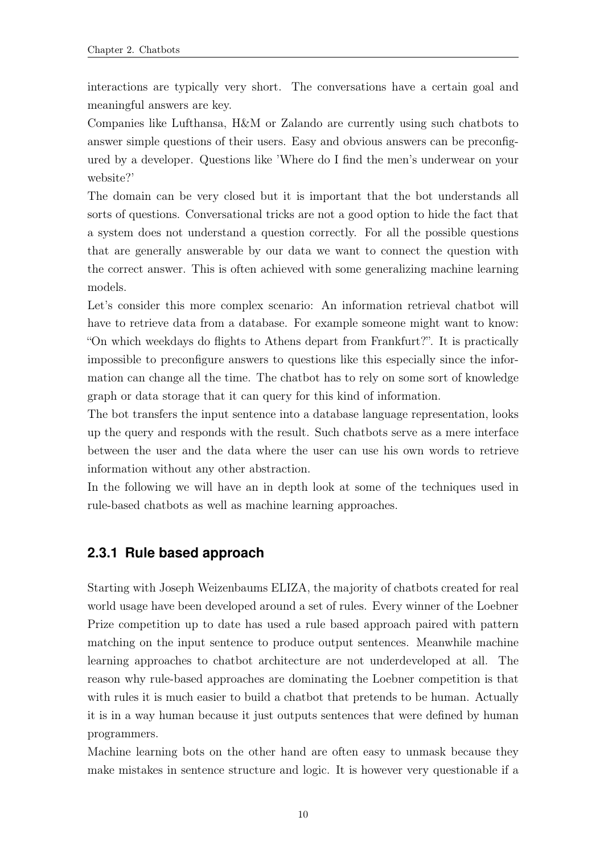interactions are typically very short. The conversations have a certain goal and meaningful answers are key.

Companies like Lufthansa, H&M or Zalando are currently using such chatbots to answer simple questions of their users. Easy and obvious answers can be preconfigured by a developer. Questions like 'Where do I find the men's underwear on your website?'

The domain can be very closed but it is important that the bot understands all sorts of questions. Conversational tricks are not a good option to hide the fact that a system does not understand a question correctly. For all the possible questions that are generally answerable by our data we want to connect the question with the correct answer. This is often achieved with some generalizing machine learning models.

Let's consider this more complex scenario: An information retrieval chatbot will have to retrieve data from a database. For example someone might want to know: "On which weekdays do flights to Athens depart from Frankfurt?". It is practically impossible to preconfigure answers to questions like this especially since the information can change all the time. The chatbot has to rely on some sort of knowledge graph or data storage that it can query for this kind of information.

The bot transfers the input sentence into a database language representation, looks up the query and responds with the result. Such chatbots serve as a mere interface between the user and the data where the user can use his own words to retrieve information without any other abstraction.

In the following we will have an in depth look at some of the techniques used in rule-based chatbots as well as machine learning approaches.

#### <span id="page-17-0"></span>**2.3.1 Rule based approach**

Starting with Joseph Weizenbaums ELIZA, the majority of chatbots created for real world usage have been developed around a set of rules. Every winner of the Loebner Prize competition up to date has used a rule based approach paired with pattern matching on the input sentence to produce output sentences. Meanwhile machine learning approaches to chatbot architecture are not underdeveloped at all. The reason why rule-based approaches are dominating the Loebner competition is that with rules it is much easier to build a chatbot that pretends to be human. Actually it is in a way human because it just outputs sentences that were defined by human programmers.

Machine learning bots on the other hand are often easy to unmask because they make mistakes in sentence structure and logic. It is however very questionable if a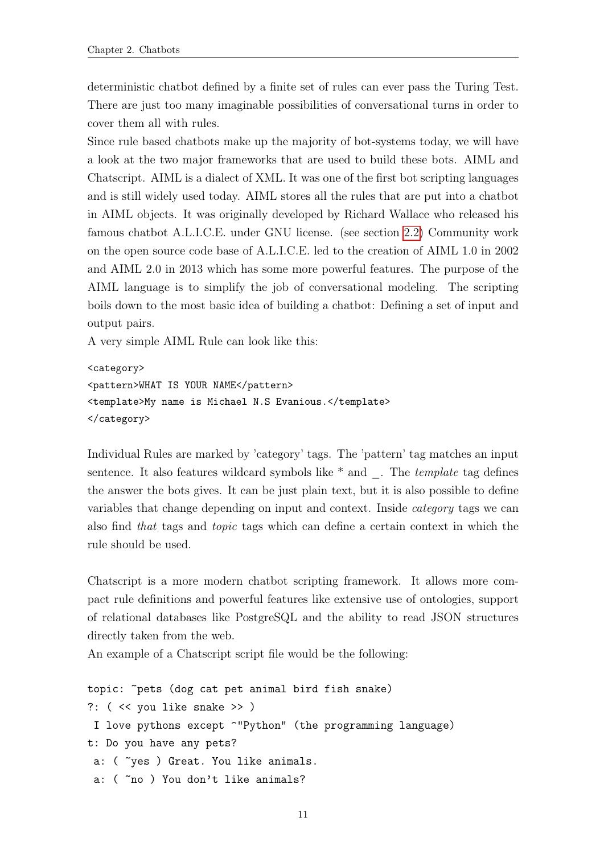deterministic chatbot defined by a finite set of rules can ever pass the Turing Test. There are just too many imaginable possibilities of conversational turns in order to cover them all with rules.

Since rule based chatbots make up the majority of bot-systems today, we will have a look at the two major frameworks that are used to build these bots. AIML and Chatscript. AIML is a dialect of XML. It was one of the first bot scripting languages and is still widely used today. AIML stores all the rules that are put into a chatbot in AIML objects. It was originally developed by Richard Wallace who released his famous chatbot A.L.I.C.E. under GNU license. (see section [2.2\)](#page-12-0) Community work on the open source code base of A.L.I.C.E. led to the creation of AIML 1.0 in 2002 and AIML 2.0 in 2013 which has some more powerful features. The purpose of the AIML language is to simplify the job of conversational modeling. The scripting boils down to the most basic idea of building a chatbot: Defining a set of input and output pairs.

A very simple AIML Rule can look like this:

```
<category>
<pattern>WHAT IS YOUR NAME</pattern>
<template>My name is Michael N.S Evanious.</template>
</category>
```
Individual Rules are marked by 'category' tags. The 'pattern' tag matches an input sentence. It also features wildcard symbols like  $*$  and  $\Box$ . The template tag defines the answer the bots gives. It can be just plain text, but it is also possible to define variables that change depending on input and context. Inside category tags we can also find that tags and topic tags which can define a certain context in which the rule should be used.

Chatscript is a more modern chatbot scripting framework. It allows more compact rule definitions and powerful features like extensive use of ontologies, support of relational databases like PostgreSQL and the ability to read JSON structures directly taken from the web.

An example of a Chatscript script file would be the following:

```
topic: ~pets (dog cat pet animal bird fish snake)
?: ( << you like snake >> )
 I love pythons except ^"Python" (the programming language)
t: Do you have any pets?
 a: ( ~ves ) Great. You like animals.
 a: ( \infty ) You don't like animals?
```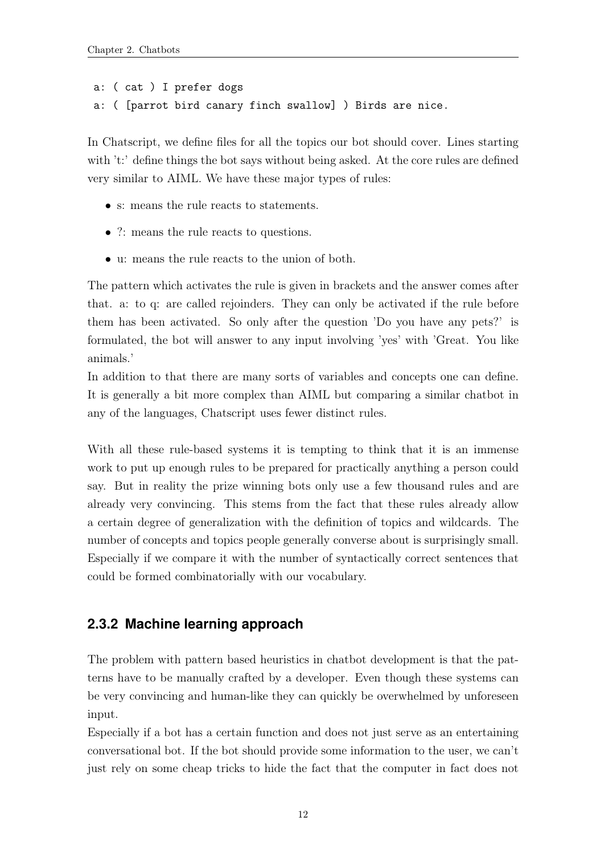```
a: ( cat ) I prefer dogs
a: ( [parrot bird canary finch swallow] ) Birds are nice.
```
In Chatscript, we define files for all the topics our bot should cover. Lines starting with 't:' define things the bot says without being asked. At the core rules are defined very similar to AIML. We have these major types of rules:

- s: means the rule reacts to statements.
- ?: means the rule reacts to questions.
- u: means the rule reacts to the union of both.

The pattern which activates the rule is given in brackets and the answer comes after that. a: to q: are called rejoinders. They can only be activated if the rule before them has been activated. So only after the question 'Do you have any pets?' is formulated, the bot will answer to any input involving 'yes' with 'Great. You like animals.'

In addition to that there are many sorts of variables and concepts one can define. It is generally a bit more complex than AIML but comparing a similar chatbot in any of the languages, Chatscript uses fewer distinct rules.

With all these rule-based systems it is tempting to think that it is an immense work to put up enough rules to be prepared for practically anything a person could say. But in reality the prize winning bots only use a few thousand rules and are already very convincing. This stems from the fact that these rules already allow a certain degree of generalization with the definition of topics and wildcards. The number of concepts and topics people generally converse about is surprisingly small. Especially if we compare it with the number of syntactically correct sentences that could be formed combinatorially with our vocabulary.

### <span id="page-19-0"></span>**2.3.2 Machine learning approach**

The problem with pattern based heuristics in chatbot development is that the patterns have to be manually crafted by a developer. Even though these systems can be very convincing and human-like they can quickly be overwhelmed by unforeseen input.

Especially if a bot has a certain function and does not just serve as an entertaining conversational bot. If the bot should provide some information to the user, we can't just rely on some cheap tricks to hide the fact that the computer in fact does not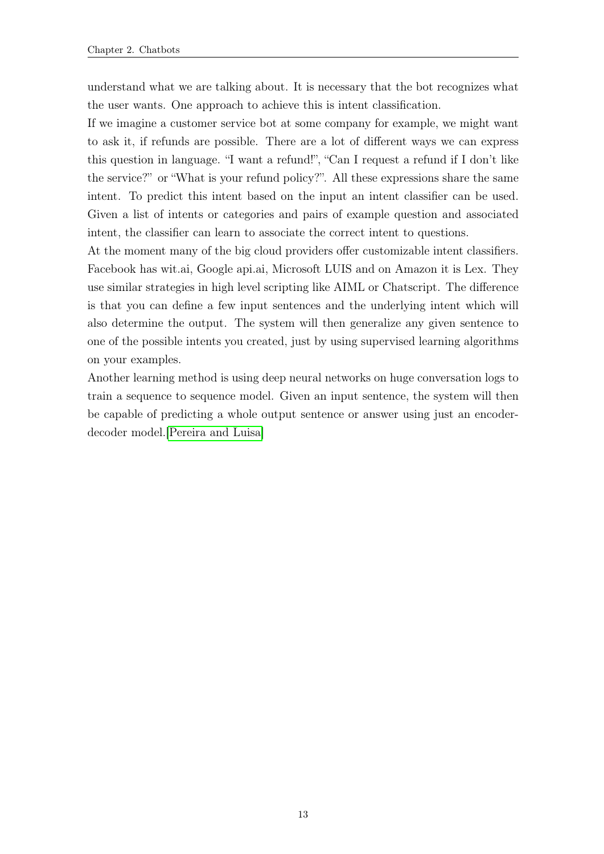understand what we are talking about. It is necessary that the bot recognizes what the user wants. One approach to achieve this is intent classification.

If we imagine a customer service bot at some company for example, we might want to ask it, if refunds are possible. There are a lot of different ways we can express this question in language. "I want a refund!", "Can I request a refund if I don't like the service?" or "What is your refund policy?". All these expressions share the same intent. To predict this intent based on the input an intent classifier can be used. Given a list of intents or categories and pairs of example question and associated intent, the classifier can learn to associate the correct intent to questions.

At the moment many of the big cloud providers offer customizable intent classifiers. Facebook has wit.ai, Google api.ai, Microsoft LUIS and on Amazon it is Lex. They use similar strategies in high level scripting like AIML or Chatscript. The difference is that you can define a few input sentences and the underlying intent which will also determine the output. The system will then generalize any given sentence to one of the possible intents you created, just by using supervised learning algorithms on your examples.

Another learning method is using deep neural networks on huge conversation logs to train a sequence to sequence model. Given an input sentence, the system will then be capable of predicting a whole output sentence or answer using just an encoderdecoder model.[\[Pereira and Luisa\]](#page-41-4)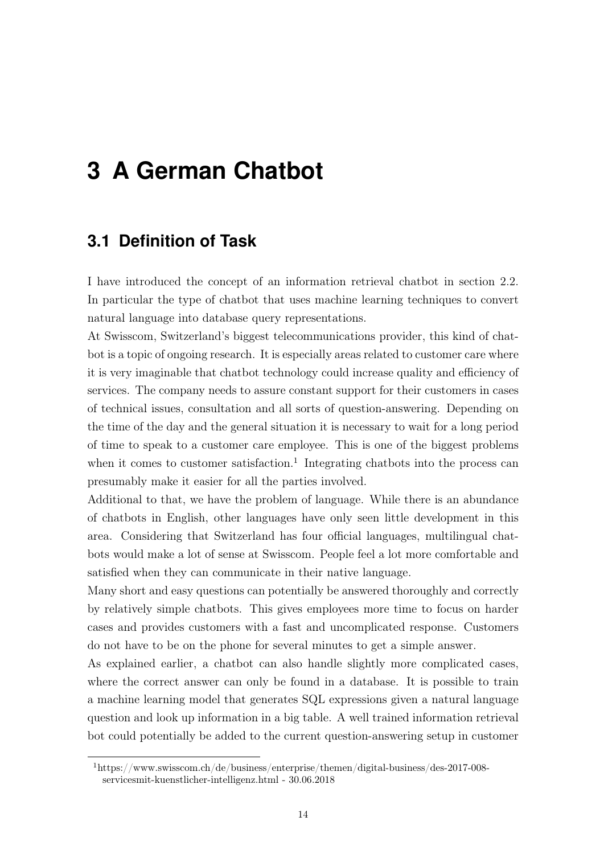# <span id="page-21-0"></span>**3 A German Chatbot**

## <span id="page-21-1"></span>**3.1 Definition of Task**

I have introduced the concept of an information retrieval chatbot in section 2.2. In particular the type of chatbot that uses machine learning techniques to convert natural language into database query representations.

At Swisscom, Switzerland's biggest telecommunications provider, this kind of chatbot is a topic of ongoing research. It is especially areas related to customer care where it is very imaginable that chatbot technology could increase quality and efficiency of services. The company needs to assure constant support for their customers in cases of technical issues, consultation and all sorts of question-answering. Depending on the time of the day and the general situation it is necessary to wait for a long period of time to speak to a customer care employee. This is one of the biggest problems when it comes to customer satisfaction.<sup>1</sup> Integrating chatbots into the process can presumably make it easier for all the parties involved.

Additional to that, we have the problem of language. While there is an abundance of chatbots in English, other languages have only seen little development in this area. Considering that Switzerland has four official languages, multilingual chatbots would make a lot of sense at Swisscom. People feel a lot more comfortable and satisfied when they can communicate in their native language.

Many short and easy questions can potentially be answered thoroughly and correctly by relatively simple chatbots. This gives employees more time to focus on harder cases and provides customers with a fast and uncomplicated response. Customers do not have to be on the phone for several minutes to get a simple answer.

As explained earlier, a chatbot can also handle slightly more complicated cases, where the correct answer can only be found in a database. It is possible to train a machine learning model that generates SQL expressions given a natural language question and look up information in a big table. A well trained information retrieval bot could potentially be added to the current question-answering setup in customer

<sup>1</sup>https://www.swisscom.ch/de/business/enterprise/themen/digital-business/des-2017-008 servicesmit-kuenstlicher-intelligenz.html - 30.06.2018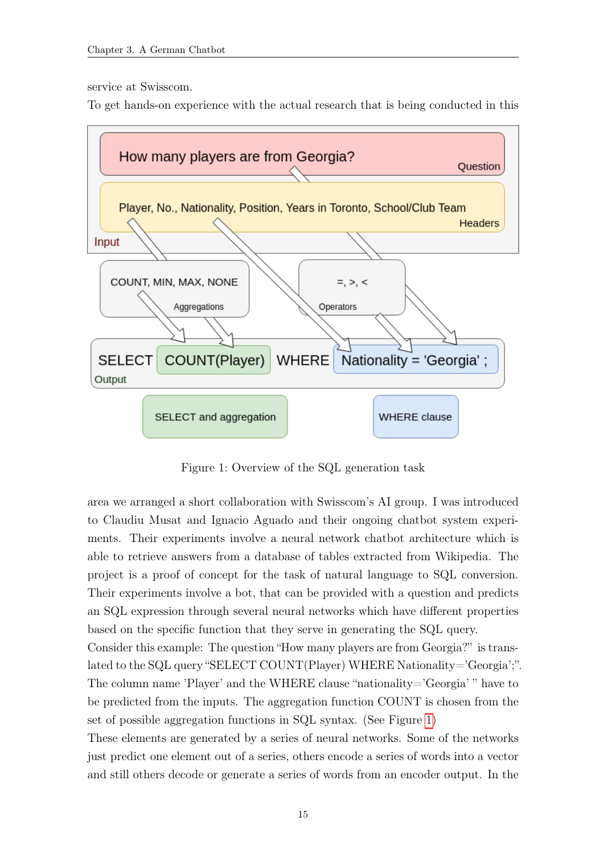service at Swisscom.

To get hands-on experience with the actual research that is being conducted in this

<span id="page-22-0"></span>

Figure 1: Overview of the SQL generation task

area we arranged a short collaboration with Swisscom's AI group. I was introduced to Claudiu Musat and Ignacio Aguado and their ongoing chatbot system experiments. Their experiments involve a neural network chatbot architecture which is able to retrieve answers from a database of tables extracted from Wikipedia. The project is a proof of concept for the task of natural language to SQL conversion. Their experiments involve a bot, that can be provided with a question and predicts an SQL expression through several neural networks which have different properties based on the specific function that they serve in generating the SQL query.

Consider this example: The question "How many players are from Georgia?" is translated to the SQL query "SELECT COUNT(Player) WHERE Nationality='Georgia';". The column name 'Player' and the WHERE clause "nationality='Georgia' " have to be predicted from the inputs. The aggregation function COUNT is chosen from the set of possible aggregation functions in SQL syntax. (See Figure [1\)](#page-22-0)

These elements are generated by a series of neural networks. Some of the networks just predict one element out of a series, others encode a series of words into a vector and still others decode or generate a series of words from an encoder output. In the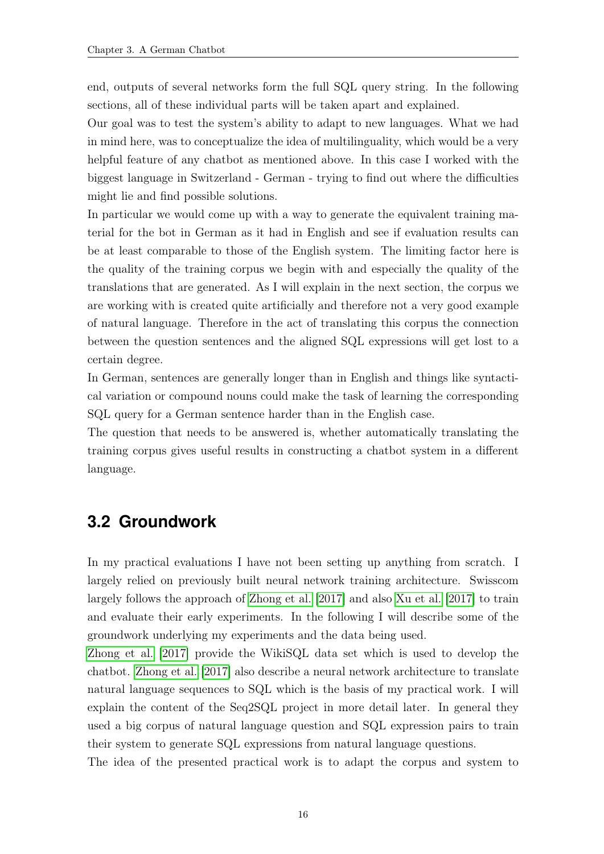end, outputs of several networks form the full SQL query string. In the following sections, all of these individual parts will be taken apart and explained.

Our goal was to test the system's ability to adapt to new languages. What we had in mind here, was to conceptualize the idea of multilinguality, which would be a very helpful feature of any chatbot as mentioned above. In this case I worked with the biggest language in Switzerland - German - trying to find out where the difficulties might lie and find possible solutions.

In particular we would come up with a way to generate the equivalent training material for the bot in German as it had in English and see if evaluation results can be at least comparable to those of the English system. The limiting factor here is the quality of the training corpus we begin with and especially the quality of the translations that are generated. As I will explain in the next section, the corpus we are working with is created quite artificially and therefore not a very good example of natural language. Therefore in the act of translating this corpus the connection between the question sentences and the aligned SQL expressions will get lost to a certain degree.

In German, sentences are generally longer than in English and things like syntactical variation or compound nouns could make the task of learning the corresponding SQL query for a German sentence harder than in the English case.

The question that needs to be answered is, whether automatically translating the training corpus gives useful results in constructing a chatbot system in a different language.

### <span id="page-23-0"></span>**3.2 Groundwork**

In my practical evaluations I have not been setting up anything from scratch. I largely relied on previously built neural network training architecture. Swisscom largely follows the approach of [Zhong et al.](#page-42-1) [\[2017\]](#page-42-1) and also [Xu et al.](#page-42-2) [\[2017\]](#page-42-2) to train and evaluate their early experiments. In the following I will describe some of the groundwork underlying my experiments and the data being used.

[Zhong et al.](#page-42-1) [\[2017\]](#page-42-1) provide the WikiSQL data set which is used to develop the chatbot. [Zhong et al.](#page-42-1) [\[2017\]](#page-42-1) also describe a neural network architecture to translate natural language sequences to SQL which is the basis of my practical work. I will explain the content of the Seq2SQL project in more detail later. In general they used a big corpus of natural language question and SQL expression pairs to train their system to generate SQL expressions from natural language questions.

The idea of the presented practical work is to adapt the corpus and system to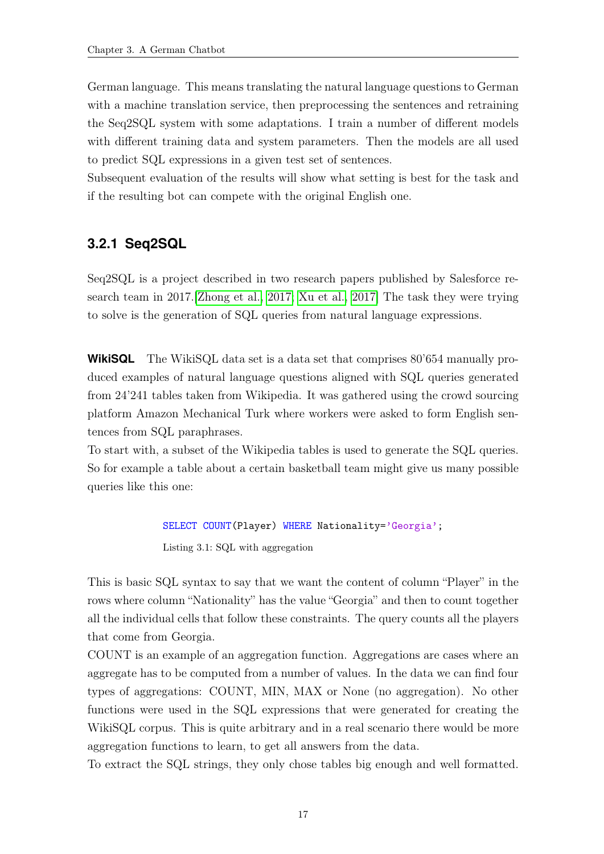German language. This means translating the natural language questions to German with a machine translation service, then preprocessing the sentences and retraining the Seq2SQL system with some adaptations. I train a number of different models with different training data and system parameters. Then the models are all used to predict SQL expressions in a given test set of sentences.

Subsequent evaluation of the results will show what setting is best for the task and if the resulting bot can compete with the original English one.

#### <span id="page-24-0"></span>**3.2.1 Seq2SQL**

Seq2SQL is a project described in two research papers published by Salesforce research team in 2017.[\[Zhong et al., 2017;](#page-42-1) [Xu et al., 2017\]](#page-42-2) The task they were trying to solve is the generation of SQL queries from natural language expressions.

**WikiSQL** The WikiSQL data set is a data set that comprises 80'654 manually produced examples of natural language questions aligned with SQL queries generated from 24'241 tables taken from Wikipedia. It was gathered using the crowd sourcing platform Amazon Mechanical Turk where workers were asked to form English sentences from SQL paraphrases.

To start with, a subset of the Wikipedia tables is used to generate the SQL queries. So for example a table about a certain basketball team might give us many possible queries like this one:

> SELECT COUNT(Player) WHERE Nationality='Georgia'; Listing 3.1: SQL with aggregation

This is basic SQL syntax to say that we want the content of column "Player" in the rows where column "Nationality" has the value "Georgia" and then to count together all the individual cells that follow these constraints. The query counts all the players that come from Georgia.

COUNT is an example of an aggregation function. Aggregations are cases where an aggregate has to be computed from a number of values. In the data we can find four types of aggregations: COUNT, MIN, MAX or None (no aggregation). No other functions were used in the SQL expressions that were generated for creating the WikiSQL corpus. This is quite arbitrary and in a real scenario there would be more aggregation functions to learn, to get all answers from the data.

To extract the SQL strings, they only chose tables big enough and well formatted.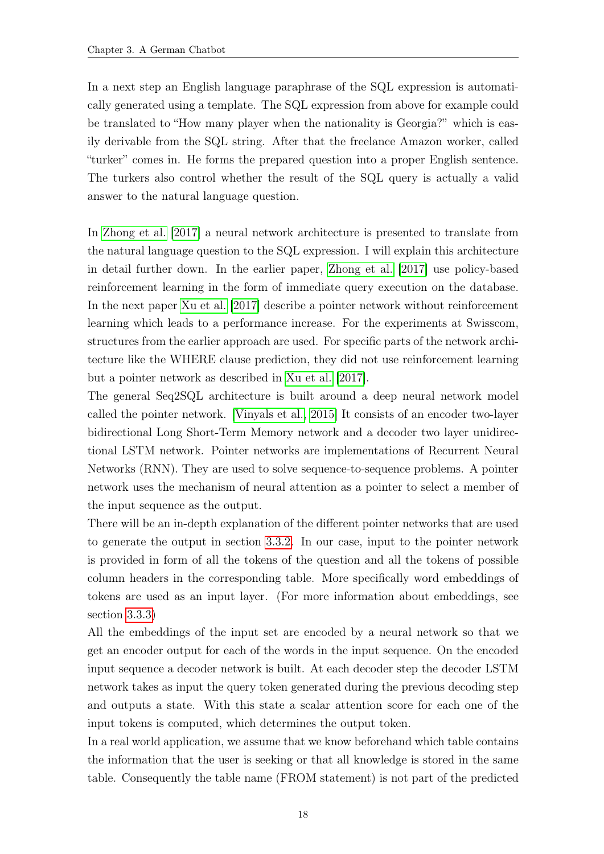In a next step an English language paraphrase of the SQL expression is automatically generated using a template. The SQL expression from above for example could be translated to "How many player when the nationality is Georgia?" which is easily derivable from the SQL string. After that the freelance Amazon worker, called "turker" comes in. He forms the prepared question into a proper English sentence. The turkers also control whether the result of the SQL query is actually a valid answer to the natural language question.

In [Zhong et al.](#page-42-1) [\[2017\]](#page-42-1) a neural network architecture is presented to translate from the natural language question to the SQL expression. I will explain this architecture in detail further down. In the earlier paper, [Zhong et al.](#page-42-1) [\[2017\]](#page-42-1) use policy-based reinforcement learning in the form of immediate query execution on the database. In the next paper [Xu et al.](#page-42-2) [\[2017\]](#page-42-2) describe a pointer network without reinforcement learning which leads to a performance increase. For the experiments at Swisscom, structures from the earlier approach are used. For specific parts of the network architecture like the WHERE clause prediction, they did not use reinforcement learning but a pointer network as described in [Xu et al.](#page-42-2) [\[2017\]](#page-42-2).

The general Seq2SQL architecture is built around a deep neural network model called the pointer network. [\[Vinyals et al., 2015\]](#page-41-5) It consists of an encoder two-layer bidirectional Long Short-Term Memory network and a decoder two layer unidirectional LSTM network. Pointer networks are implementations of Recurrent Neural Networks (RNN). They are used to solve sequence-to-sequence problems. A pointer network uses the mechanism of neural attention as a pointer to select a member of the input sequence as the output.

There will be an in-depth explanation of the different pointer networks that are used to generate the output in section [3.3.2.](#page-29-0) In our case, input to the pointer network is provided in form of all the tokens of the question and all the tokens of possible column headers in the corresponding table. More specifically word embeddings of tokens are used as an input layer. (For more information about embeddings, see section [3.3.3\)](#page-32-0)

All the embeddings of the input set are encoded by a neural network so that we get an encoder output for each of the words in the input sequence. On the encoded input sequence a decoder network is built. At each decoder step the decoder LSTM network takes as input the query token generated during the previous decoding step and outputs a state. With this state a scalar attention score for each one of the input tokens is computed, which determines the output token.

In a real world application, we assume that we know beforehand which table contains the information that the user is seeking or that all knowledge is stored in the same table. Consequently the table name (FROM statement) is not part of the predicted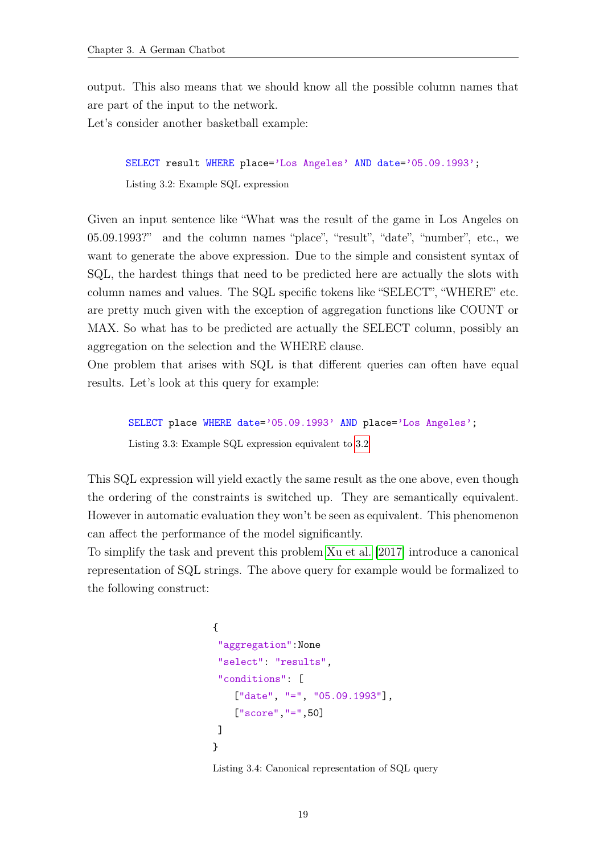output. This also means that we should know all the possible column names that are part of the input to the network.

Let's consider another basketball example:

<span id="page-26-0"></span>SELECT result WHERE place='Los Angeles' AND date='05.09.1993'; Listing 3.2: Example SQL expression

Given an input sentence like "What was the result of the game in Los Angeles on 05.09.1993?" and the column names "place", "result", "date", "number", etc., we want to generate the above expression. Due to the simple and consistent syntax of SQL, the hardest things that need to be predicted here are actually the slots with column names and values. The SQL specific tokens like "SELECT", "WHERE" etc. are pretty much given with the exception of aggregation functions like COUNT or MAX. So what has to be predicted are actually the SELECT column, possibly an aggregation on the selection and the WHERE clause.

One problem that arises with SQL is that different queries can often have equal results. Let's look at this query for example:

```
SELECT place WHERE date='05.09.1993' AND place='Los Angeles';
Listing 3.3: Example SQL expression equivalent to 3.2
```
This SQL expression will yield exactly the same result as the one above, even though the ordering of the constraints is switched up. They are semantically equivalent. However in automatic evaluation they won't be seen as equivalent. This phenomenon can affect the performance of the model significantly.

To simplify the task and prevent this problem [Xu et al.](#page-42-2) [\[2017\]](#page-42-2) introduce a canonical representation of SQL strings. The above query for example would be formalized to the following construct:

```
{
 "aggregation":None
 "select": "results",
 "conditions": [
    ["date", "=", "05.09.1993"],
    ["score","=",50]
]
}
```
Listing 3.4: Canonical representation of SQL query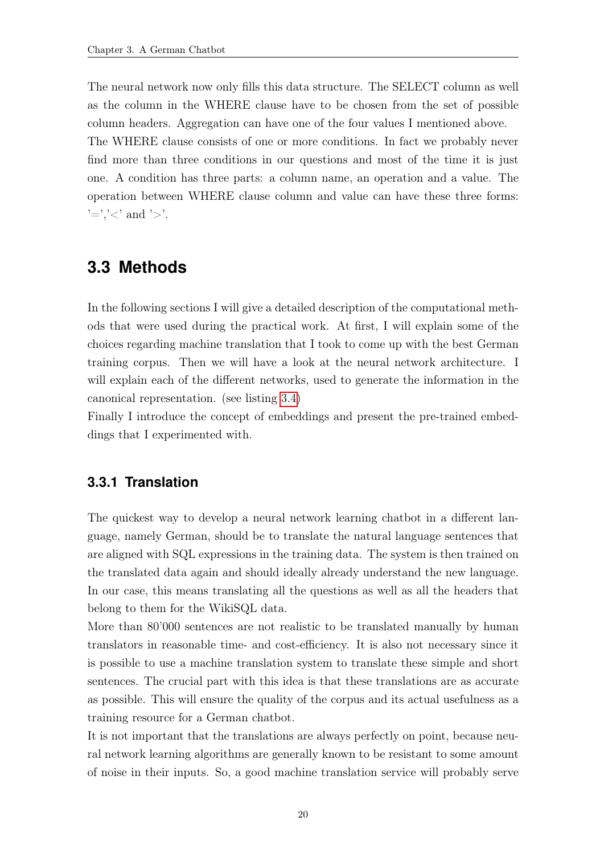The neural network now only fills this data structure. The SELECT column as well as the column in the WHERE clause have to be chosen from the set of possible column headers. Aggregation can have one of the four values I mentioned above.

The WHERE clause consists of one or more conditions. In fact we probably never find more than three conditions in our questions and most of the time it is just one. A condition has three parts: a column name, an operation and a value. The operation between WHERE clause column and value can have these three forms:  $\equiv$ ' $\prec$ ' and ' $>$ '.

## <span id="page-27-0"></span>**3.3 Methods**

In the following sections I will give a detailed description of the computational methods that were used during the practical work. At first, I will explain some of the choices regarding machine translation that I took to come up with the best German training corpus. Then we will have a look at the neural network architecture. I will explain each of the different networks, used to generate the information in the canonical representation. (see listing [3.4\)](#page-26-1)

Finally I introduce the concept of embeddings and present the pre-trained embeddings that I experimented with.

#### <span id="page-27-1"></span>**3.3.1 Translation**

The quickest way to develop a neural network learning chatbot in a different language, namely German, should be to translate the natural language sentences that are aligned with SQL expressions in the training data. The system is then trained on the translated data again and should ideally already understand the new language. In our case, this means translating all the questions as well as all the headers that belong to them for the WikiSQL data.

More than 80'000 sentences are not realistic to be translated manually by human translators in reasonable time- and cost-efficiency. It is also not necessary since it is possible to use a machine translation system to translate these simple and short sentences. The crucial part with this idea is that these translations are as accurate as possible. This will ensure the quality of the corpus and its actual usefulness as a training resource for a German chatbot.

It is not important that the translations are always perfectly on point, because neural network learning algorithms are generally known to be resistant to some amount of noise in their inputs. So, a good machine translation service will probably serve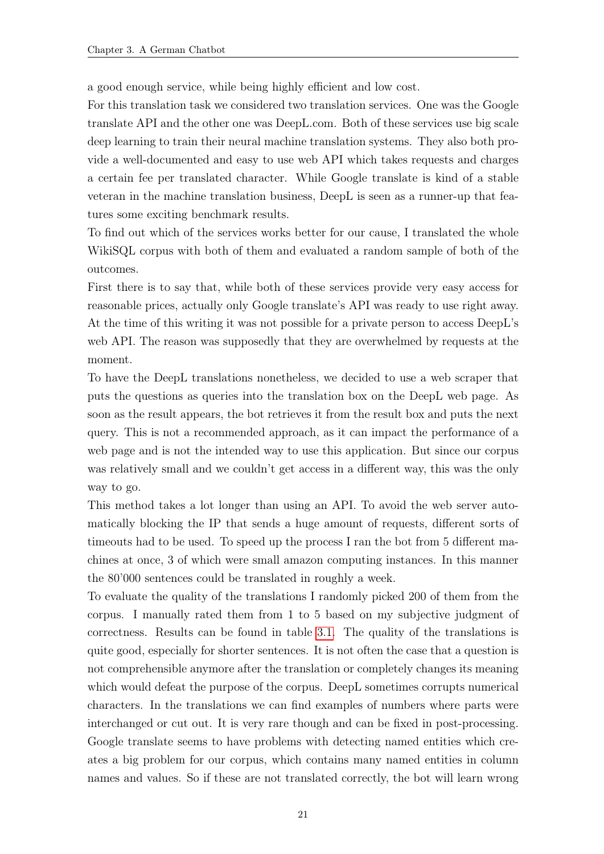a good enough service, while being highly efficient and low cost.

For this translation task we considered two translation services. One was the Google translate API and the other one was DeepL.com. Both of these services use big scale deep learning to train their neural machine translation systems. They also both provide a well-documented and easy to use web API which takes requests and charges a certain fee per translated character. While Google translate is kind of a stable veteran in the machine translation business, DeepL is seen as a runner-up that features some exciting benchmark results.

To find out which of the services works better for our cause, I translated the whole WikiSQL corpus with both of them and evaluated a random sample of both of the outcomes.

First there is to say that, while both of these services provide very easy access for reasonable prices, actually only Google translate's API was ready to use right away. At the time of this writing it was not possible for a private person to access DeepL's web API. The reason was supposedly that they are overwhelmed by requests at the moment.

To have the DeepL translations nonetheless, we decided to use a web scraper that puts the questions as queries into the translation box on the DeepL web page. As soon as the result appears, the bot retrieves it from the result box and puts the next query. This is not a recommended approach, as it can impact the performance of a web page and is not the intended way to use this application. But since our corpus was relatively small and we couldn't get access in a different way, this was the only way to go.

This method takes a lot longer than using an API. To avoid the web server automatically blocking the IP that sends a huge amount of requests, different sorts of timeouts had to be used. To speed up the process I ran the bot from 5 different machines at once, 3 of which were small amazon computing instances. In this manner the 80'000 sentences could be translated in roughly a week.

To evaluate the quality of the translations I randomly picked 200 of them from the corpus. I manually rated them from 1 to 5 based on my subjective judgment of correctness. Results can be found in table [3.1.](#page-29-1) The quality of the translations is quite good, especially for shorter sentences. It is not often the case that a question is not comprehensible anymore after the translation or completely changes its meaning which would defeat the purpose of the corpus. DeepL sometimes corrupts numerical characters. In the translations we can find examples of numbers where parts were interchanged or cut out. It is very rare though and can be fixed in post-processing. Google translate seems to have problems with detecting named entities which creates a big problem for our corpus, which contains many named entities in column names and values. So if these are not translated correctly, the bot will learn wrong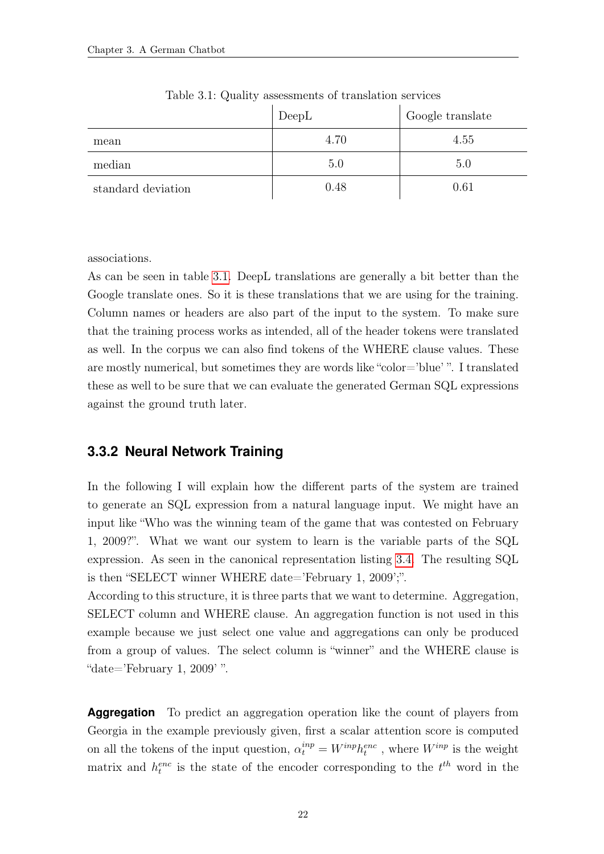<span id="page-29-1"></span>

|                    | DeepL | Google translate |
|--------------------|-------|------------------|
| mean               | 4.70  | 4.55             |
| median             | 5.0   | 5.0              |
| standard deviation | 0.48  | 0.61             |

Table 3.1: Quality assessments of translation services

associations.

As can be seen in table [3.1.](#page-29-1) DeepL translations are generally a bit better than the Google translate ones. So it is these translations that we are using for the training. Column names or headers are also part of the input to the system. To make sure that the training process works as intended, all of the header tokens were translated as well. In the corpus we can also find tokens of the WHERE clause values. These are mostly numerical, but sometimes they are words like "color='blue' ". I translated these as well to be sure that we can evaluate the generated German SQL expressions against the ground truth later.

#### <span id="page-29-0"></span>**3.3.2 Neural Network Training**

In the following I will explain how the different parts of the system are trained to generate an SQL expression from a natural language input. We might have an input like "Who was the winning team of the game that was contested on February 1, 2009?". What we want our system to learn is the variable parts of the SQL expression. As seen in the canonical representation listing [3.4.](#page-26-1) The resulting SQL is then "SELECT winner WHERE date='February 1, 2009';".

According to this structure, it is three parts that we want to determine. Aggregation, SELECT column and WHERE clause. An aggregation function is not used in this example because we just select one value and aggregations can only be produced from a group of values. The select column is "winner" and the WHERE clause is "date='February 1, 2009' ".

**Aggregation** To predict an aggregation operation like the count of players from Georgia in the example previously given, first a scalar attention score is computed on all the tokens of the input question,  $\alpha_t^{inp} = W^{inp} h_t^{enc}$ , where  $W^{inp}$  is the weight matrix and  $h_t^{enc}$  is the state of the encoder corresponding to the  $t^{th}$  word in the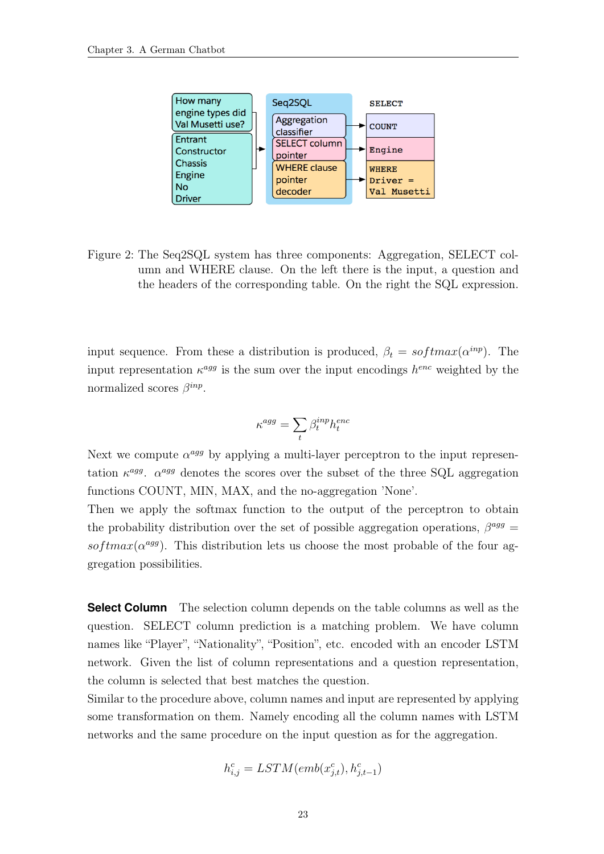<span id="page-30-0"></span>

Figure 2: The Seq2SQL system has three components: Aggregation, SELECT column and WHERE clause. On the left there is the input, a question and the headers of the corresponding table. On the right the SQL expression.

input sequence. From these a distribution is produced,  $\beta_t = softmax(\alpha^{inp})$ . The input representation  $\kappa^{agg}$  is the sum over the input encodings  $h^{enc}$  weighted by the normalized scores  $\beta^{inp}$ .

$$
\kappa^{agg} = \sum_t \beta_t^{inp} h_t^{enc}
$$

Next we compute  $\alpha^{agg}$  by applying a multi-layer perceptron to the input representation  $\kappa^{agg}$ .  $\alpha^{agg}$  denotes the scores over the subset of the three SQL aggregation functions COUNT, MIN, MAX, and the no-aggregation 'None'.

Then we apply the softmax function to the output of the perceptron to obtain the probability distribution over the set of possible aggregation operations,  $\beta^{agg} =$ softmax( $\alpha^{agg}$ ). This distribution lets us choose the most probable of the four aggregation possibilities.

**Select Column** The selection column depends on the table columns as well as the question. SELECT column prediction is a matching problem. We have column names like "Player", "Nationality", "Position", etc. encoded with an encoder LSTM network. Given the list of column representations and a question representation, the column is selected that best matches the question.

Similar to the procedure above, column names and input are represented by applying some transformation on them. Namely encoding all the column names with LSTM networks and the same procedure on the input question as for the aggregation.

$$
h_{i,j}^c = LSTM(emb(x_{j,t}^c), h_{j,t-1}^c)
$$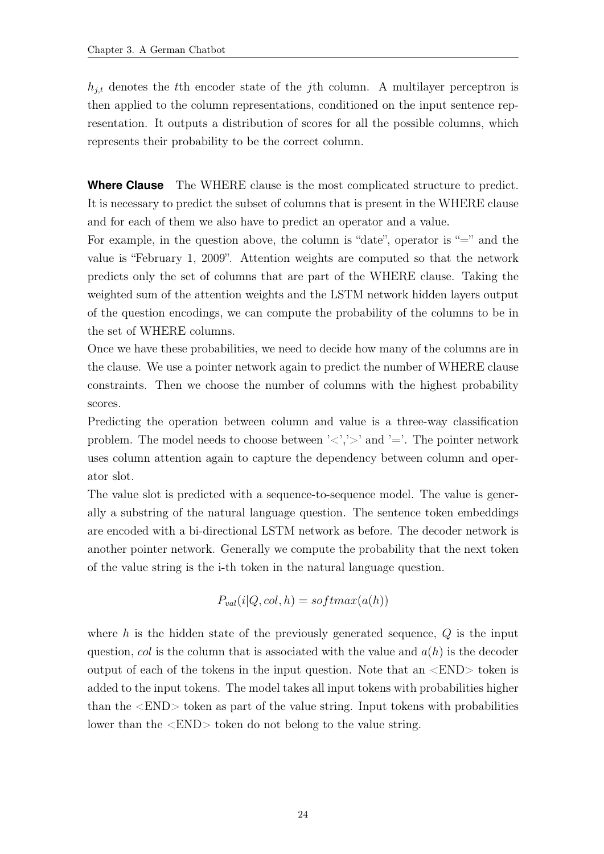$h_{i,t}$  denotes the tth encoder state of the j<sup>th</sup> column. A multilayer perceptron is then applied to the column representations, conditioned on the input sentence representation. It outputs a distribution of scores for all the possible columns, which represents their probability to be the correct column.

**Where Clause** The WHERE clause is the most complicated structure to predict. It is necessary to predict the subset of columns that is present in the WHERE clause and for each of them we also have to predict an operator and a value.

For example, in the question above, the column is "date", operator is "=" and the value is "February 1, 2009". Attention weights are computed so that the network predicts only the set of columns that are part of the WHERE clause. Taking the weighted sum of the attention weights and the LSTM network hidden layers output of the question encodings, we can compute the probability of the columns to be in the set of WHERE columns.

Once we have these probabilities, we need to decide how many of the columns are in the clause. We use a pointer network again to predict the number of WHERE clause constraints. Then we choose the number of columns with the highest probability scores.

Predicting the operation between column and value is a three-way classification problem. The model needs to choose between ' $\langle \cdot, \cdot \rangle$ ' and '='. The pointer network uses column attention again to capture the dependency between column and operator slot.

The value slot is predicted with a sequence-to-sequence model. The value is generally a substring of the natural language question. The sentence token embeddings are encoded with a bi-directional LSTM network as before. The decoder network is another pointer network. Generally we compute the probability that the next token of the value string is the i-th token in the natural language question.

$$
P_{val}(i|Q,col, h) = softmax(a(h))
$$

where h is the hidden state of the previously generated sequence,  $Q$  is the input question, col is the column that is associated with the value and  $a(h)$  is the decoder output of each of the tokens in the input question. Note that an <END> token is added to the input tokens. The model takes all input tokens with probabilities higher than the <END> token as part of the value string. Input tokens with probabilities lower than the  $\langle$ END $\rangle$  token do not belong to the value string.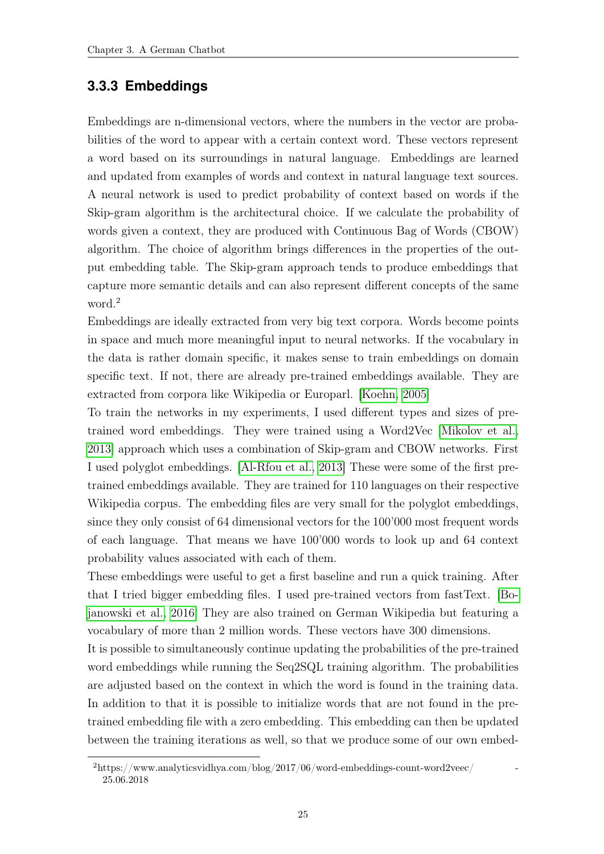#### <span id="page-32-0"></span>**3.3.3 Embeddings**

Embeddings are n-dimensional vectors, where the numbers in the vector are probabilities of the word to appear with a certain context word. These vectors represent a word based on its surroundings in natural language. Embeddings are learned and updated from examples of words and context in natural language text sources. A neural network is used to predict probability of context based on words if the Skip-gram algorithm is the architectural choice. If we calculate the probability of words given a context, they are produced with Continuous Bag of Words (CBOW) algorithm. The choice of algorithm brings differences in the properties of the output embedding table. The Skip-gram approach tends to produce embeddings that capture more semantic details and can also represent different concepts of the same word.<sup>2</sup>

Embeddings are ideally extracted from very big text corpora. Words become points in space and much more meaningful input to neural networks. If the vocabulary in the data is rather domain specific, it makes sense to train embeddings on domain specific text. If not, there are already pre-trained embeddings available. They are extracted from corpora like Wikipedia or Europarl. [\[Koehn, 2005\]](#page-41-6)

To train the networks in my experiments, I used different types and sizes of pretrained word embeddings. They were trained using a Word2Vec [\[Mikolov et al.,](#page-41-7) [2013\]](#page-41-7) approach which uses a combination of Skip-gram and CBOW networks. First I used polyglot embeddings. [\[Al-Rfou et al., 2013\]](#page-40-1) These were some of the first pretrained embeddings available. They are trained for 110 languages on their respective Wikipedia corpus. The embedding files are very small for the polyglot embeddings, since they only consist of 64 dimensional vectors for the 100'000 most frequent words of each language. That means we have 100'000 words to look up and 64 context probability values associated with each of them.

These embeddings were useful to get a first baseline and run a quick training. After that I tried bigger embedding files. I used pre-trained vectors from fastText. [\[Bo](#page-40-2)[janowski et al., 2016\]](#page-40-2) They are also trained on German Wikipedia but featuring a vocabulary of more than 2 million words. These vectors have 300 dimensions.

It is possible to simultaneously continue updating the probabilities of the pre-trained word embeddings while running the Seq2SQL training algorithm. The probabilities are adjusted based on the context in which the word is found in the training data. In addition to that it is possible to initialize words that are not found in the pretrained embedding file with a zero embedding. This embedding can then be updated between the training iterations as well, so that we produce some of our own embed-

 $2$ https://www.analyticsvidhya.com/blog/2017/06/word-embeddings-count-word2veec/ 25.06.2018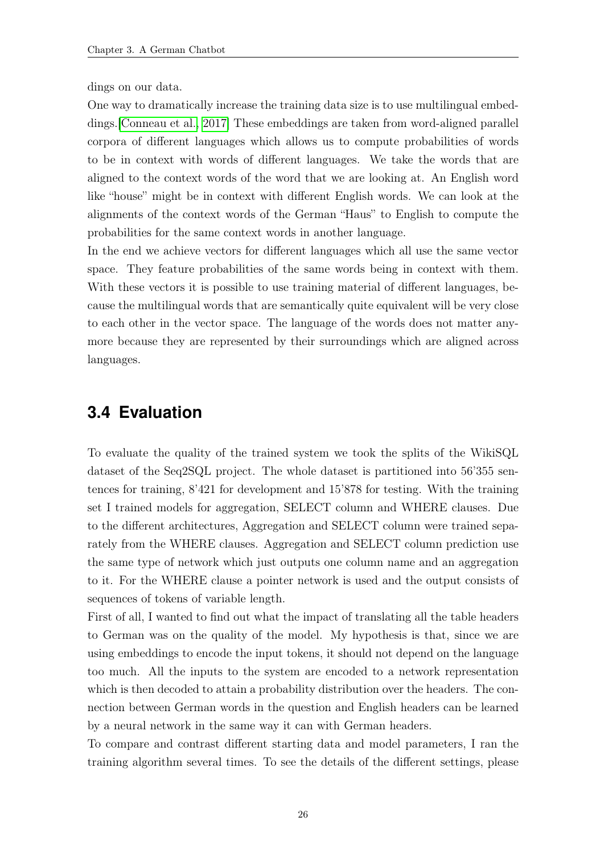dings on our data.

One way to dramatically increase the training data size is to use multilingual embeddings.[\[Conneau et al., 2017\]](#page-40-3) These embeddings are taken from word-aligned parallel corpora of different languages which allows us to compute probabilities of words to be in context with words of different languages. We take the words that are aligned to the context words of the word that we are looking at. An English word like "house" might be in context with different English words. We can look at the alignments of the context words of the German "Haus" to English to compute the probabilities for the same context words in another language.

In the end we achieve vectors for different languages which all use the same vector space. They feature probabilities of the same words being in context with them. With these vectors it is possible to use training material of different languages, because the multilingual words that are semantically quite equivalent will be very close to each other in the vector space. The language of the words does not matter anymore because they are represented by their surroundings which are aligned across languages.

# <span id="page-33-0"></span>**3.4 Evaluation**

To evaluate the quality of the trained system we took the splits of the WikiSQL dataset of the Seq2SQL project. The whole dataset is partitioned into 56'355 sentences for training, 8'421 for development and 15'878 for testing. With the training set I trained models for aggregation, SELECT column and WHERE clauses. Due to the different architectures, Aggregation and SELECT column were trained separately from the WHERE clauses. Aggregation and SELECT column prediction use the same type of network which just outputs one column name and an aggregation to it. For the WHERE clause a pointer network is used and the output consists of sequences of tokens of variable length.

First of all, I wanted to find out what the impact of translating all the table headers to German was on the quality of the model. My hypothesis is that, since we are using embeddings to encode the input tokens, it should not depend on the language too much. All the inputs to the system are encoded to a network representation which is then decoded to attain a probability distribution over the headers. The connection between German words in the question and English headers can be learned by a neural network in the same way it can with German headers.

To compare and contrast different starting data and model parameters, I ran the training algorithm several times. To see the details of the different settings, please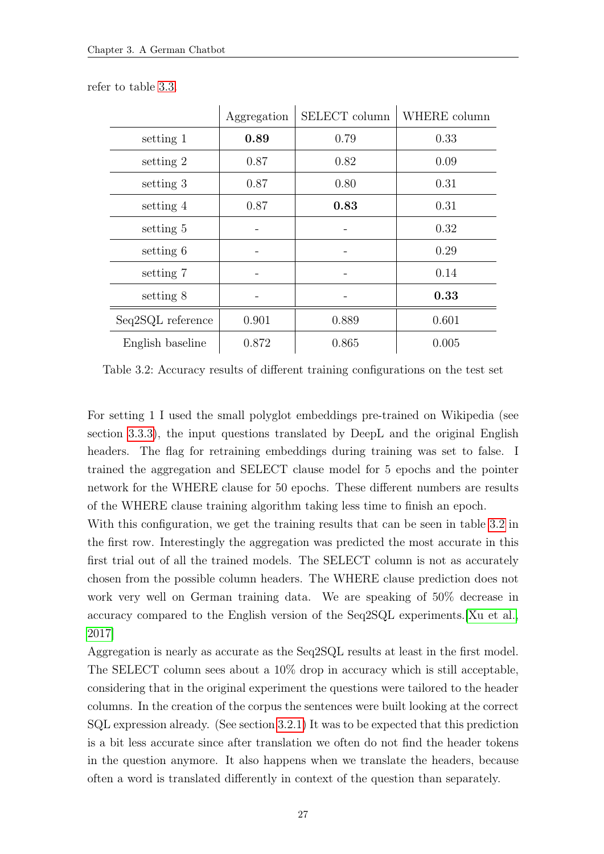|                   | Aggregation | SELECT column | WHERE column |
|-------------------|-------------|---------------|--------------|
| setting 1         | 0.89        | 0.79          | 0.33         |
| setting 2         | 0.87        | 0.82          | 0.09         |
| setting 3         | 0.87        | 0.80          | 0.31         |
| setting 4         | 0.87        | 0.83          | 0.31         |
| setting 5         |             |               | 0.32         |
| setting 6         |             |               | 0.29         |
| setting 7         |             |               | 0.14         |
| setting 8         |             |               | 0.33         |
| Seq2SQL reference | 0.901       | 0.889         | 0.601        |
| English baseline  | 0.872       | 0.865         | 0.005        |

<span id="page-34-0"></span>refer to table [3.3.](#page-35-0)

Table 3.2: Accuracy results of different training configurations on the test set

For setting 1 I used the small polyglot embeddings pre-trained on Wikipedia (see section [3.3.3\)](#page-32-0), the input questions translated by DeepL and the original English headers. The flag for retraining embeddings during training was set to false. I trained the aggregation and SELECT clause model for 5 epochs and the pointer network for the WHERE clause for 50 epochs. These different numbers are results of the WHERE clause training algorithm taking less time to finish an epoch.

With this configuration, we get the training results that can be seen in table [3.2](#page-34-0) in the first row. Interestingly the aggregation was predicted the most accurate in this first trial out of all the trained models. The SELECT column is not as accurately chosen from the possible column headers. The WHERE clause prediction does not work very well on German training data. We are speaking of 50% decrease in accuracy compared to the English version of the Seq2SQL experiments.[\[Xu et al.,](#page-42-2) [2017\]](#page-42-2)

Aggregation is nearly as accurate as the Seq2SQL results at least in the first model. The SELECT column sees about a 10% drop in accuracy which is still acceptable, considering that in the original experiment the questions were tailored to the header columns. In the creation of the corpus the sentences were built looking at the correct SQL expression already. (See section [3.2.1\)](#page-24-0) It was to be expected that this prediction is a bit less accurate since after translation we often do not find the header tokens in the question anymore. It also happens when we translate the headers, because often a word is translated differently in context of the question than separately.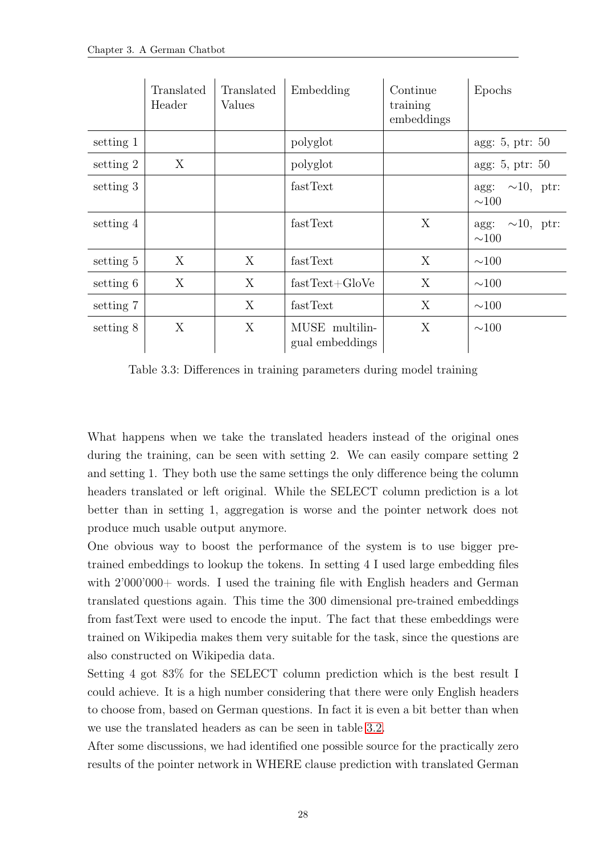<span id="page-35-0"></span>

|           | Translated<br>Header | Translated<br>Values | Embedding                         | Continue<br>training<br>embeddings | Epochs                             |
|-----------|----------------------|----------------------|-----------------------------------|------------------------------------|------------------------------------|
| setting 1 |                      |                      | polyglot                          |                                    | agg: $5$ , ptr: $50$               |
| setting 2 | X                    |                      | polyglot                          |                                    | agg: 5, ptr: 50                    |
| setting 3 |                      |                      | fastText                          |                                    | agg: $\sim 10$ , ptr:<br>$\sim100$ |
| setting 4 |                      |                      | fastText                          | X                                  | agg: $\sim 10$ , ptr:<br>$\sim100$ |
| setting 5 | X                    | X                    | fastText                          | X                                  | $\sim$ 100                         |
| setting 6 | X                    | X                    | $fastText+GloVe$                  | X                                  | $\sim$ 100                         |
| setting 7 |                      | X                    | fastText                          | X                                  | $\sim$ 100                         |
| setting 8 | X                    | X                    | MUSE multilin-<br>gual embeddings | X                                  | $\sim$ 100                         |

Table 3.3: Differences in training parameters during model training

What happens when we take the translated headers instead of the original ones during the training, can be seen with setting 2. We can easily compare setting 2 and setting 1. They both use the same settings the only difference being the column headers translated or left original. While the SELECT column prediction is a lot better than in setting 1, aggregation is worse and the pointer network does not produce much usable output anymore.

One obvious way to boost the performance of the system is to use bigger pretrained embeddings to lookup the tokens. In setting 4 I used large embedding files with  $2'000'000+$  words. I used the training file with English headers and German translated questions again. This time the 300 dimensional pre-trained embeddings from fastText were used to encode the input. The fact that these embeddings were trained on Wikipedia makes them very suitable for the task, since the questions are also constructed on Wikipedia data.

Setting 4 got 83% for the SELECT column prediction which is the best result I could achieve. It is a high number considering that there were only English headers to choose from, based on German questions. In fact it is even a bit better than when we use the translated headers as can be seen in table [3.2.](#page-34-0)

After some discussions, we had identified one possible source for the practically zero results of the pointer network in WHERE clause prediction with translated German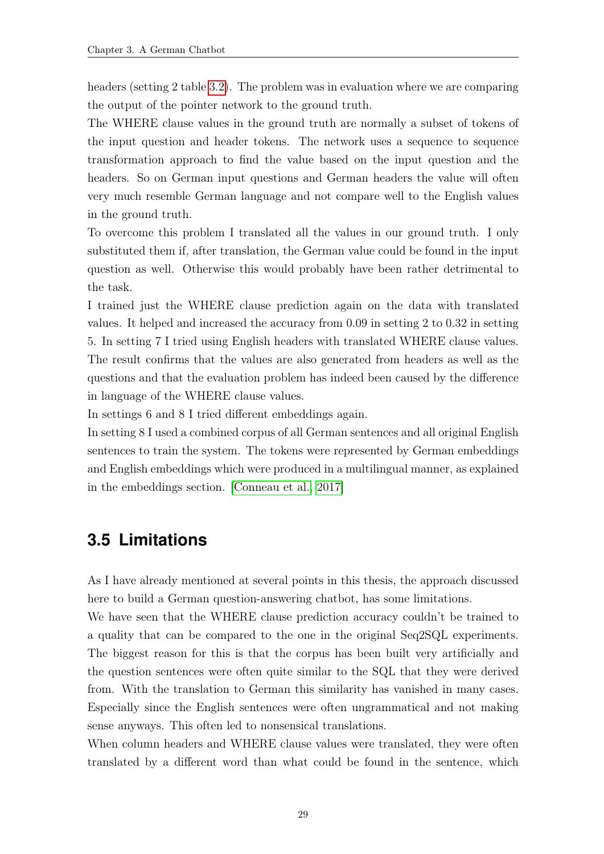headers (setting 2 table [3.2\)](#page-34-0). The problem was in evaluation where we are comparing the output of the pointer network to the ground truth.

The WHERE clause values in the ground truth are normally a subset of tokens of the input question and header tokens. The network uses a sequence to sequence transformation approach to find the value based on the input question and the headers. So on German input questions and German headers the value will often very much resemble German language and not compare well to the English values in the ground truth.

To overcome this problem I translated all the values in our ground truth. I only substituted them if, after translation, the German value could be found in the input question as well. Otherwise this would probably have been rather detrimental to the task.

I trained just the WHERE clause prediction again on the data with translated values. It helped and increased the accuracy from 0.09 in setting 2 to 0.32 in setting 5. In setting 7 I tried using English headers with translated WHERE clause values. The result confirms that the values are also generated from headers as well as the questions and that the evaluation problem has indeed been caused by the difference in language of the WHERE clause values.

In settings 6 and 8 I tried different embeddings again.

In setting 8 I used a combined corpus of all German sentences and all original English sentences to train the system. The tokens were represented by German embeddings and English embeddings which were produced in a multilingual manner, as explained in the embeddings section. [\[Conneau et al., 2017\]](#page-40-3)

## <span id="page-36-0"></span>**3.5 Limitations**

As I have already mentioned at several points in this thesis, the approach discussed here to build a German question-answering chatbot, has some limitations.

We have seen that the WHERE clause prediction accuracy couldn't be trained to a quality that can be compared to the one in the original Seq2SQL experiments. The biggest reason for this is that the corpus has been built very artificially and the question sentences were often quite similar to the SQL that they were derived from. With the translation to German this similarity has vanished in many cases. Especially since the English sentences were often ungrammatical and not making sense anyways. This often led to nonsensical translations.

When column headers and WHERE clause values were translated, they were often translated by a different word than what could be found in the sentence, which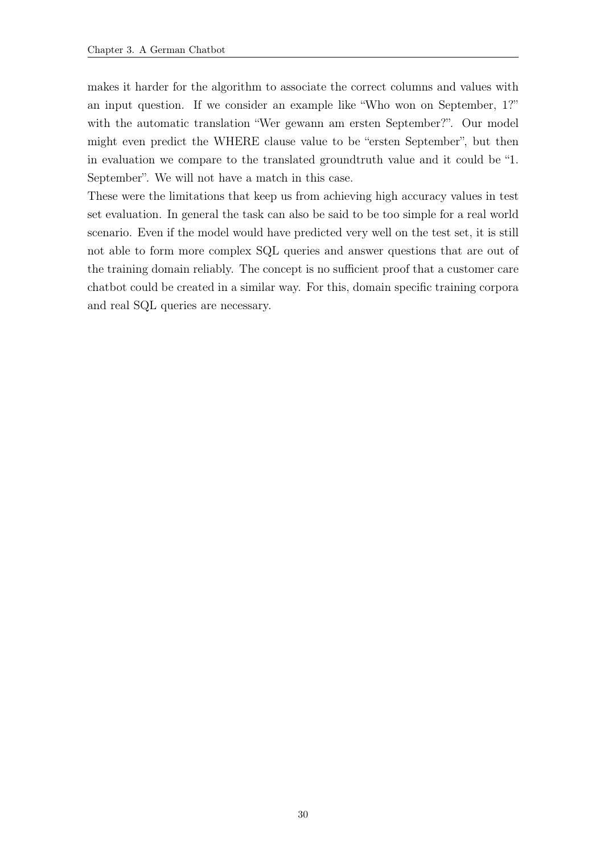makes it harder for the algorithm to associate the correct columns and values with an input question. If we consider an example like "Who won on September, 1?" with the automatic translation "Wer gewann am ersten September?". Our model might even predict the WHERE clause value to be "ersten September", but then in evaluation we compare to the translated groundtruth value and it could be "1. September". We will not have a match in this case.

These were the limitations that keep us from achieving high accuracy values in test set evaluation. In general the task can also be said to be too simple for a real world scenario. Even if the model would have predicted very well on the test set, it is still not able to form more complex SQL queries and answer questions that are out of the training domain reliably. The concept is no sufficient proof that a customer care chatbot could be created in a similar way. For this, domain specific training corpora and real SQL queries are necessary.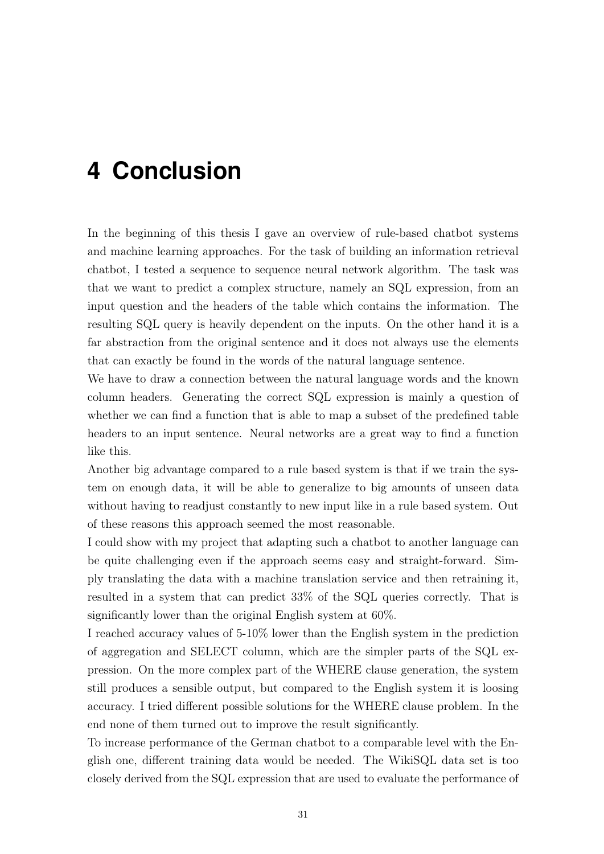# <span id="page-38-0"></span>**4 Conclusion**

In the beginning of this thesis I gave an overview of rule-based chatbot systems and machine learning approaches. For the task of building an information retrieval chatbot, I tested a sequence to sequence neural network algorithm. The task was that we want to predict a complex structure, namely an SQL expression, from an input question and the headers of the table which contains the information. The resulting SQL query is heavily dependent on the inputs. On the other hand it is a far abstraction from the original sentence and it does not always use the elements that can exactly be found in the words of the natural language sentence.

We have to draw a connection between the natural language words and the known column headers. Generating the correct SQL expression is mainly a question of whether we can find a function that is able to map a subset of the predefined table headers to an input sentence. Neural networks are a great way to find a function like this.

Another big advantage compared to a rule based system is that if we train the system on enough data, it will be able to generalize to big amounts of unseen data without having to readjust constantly to new input like in a rule based system. Out of these reasons this approach seemed the most reasonable.

I could show with my project that adapting such a chatbot to another language can be quite challenging even if the approach seems easy and straight-forward. Simply translating the data with a machine translation service and then retraining it, resulted in a system that can predict 33% of the SQL queries correctly. That is significantly lower than the original English system at 60%.

I reached accuracy values of 5-10% lower than the English system in the prediction of aggregation and SELECT column, which are the simpler parts of the SQL expression. On the more complex part of the WHERE clause generation, the system still produces a sensible output, but compared to the English system it is loosing accuracy. I tried different possible solutions for the WHERE clause problem. In the end none of them turned out to improve the result significantly.

To increase performance of the German chatbot to a comparable level with the English one, different training data would be needed. The WikiSQL data set is too closely derived from the SQL expression that are used to evaluate the performance of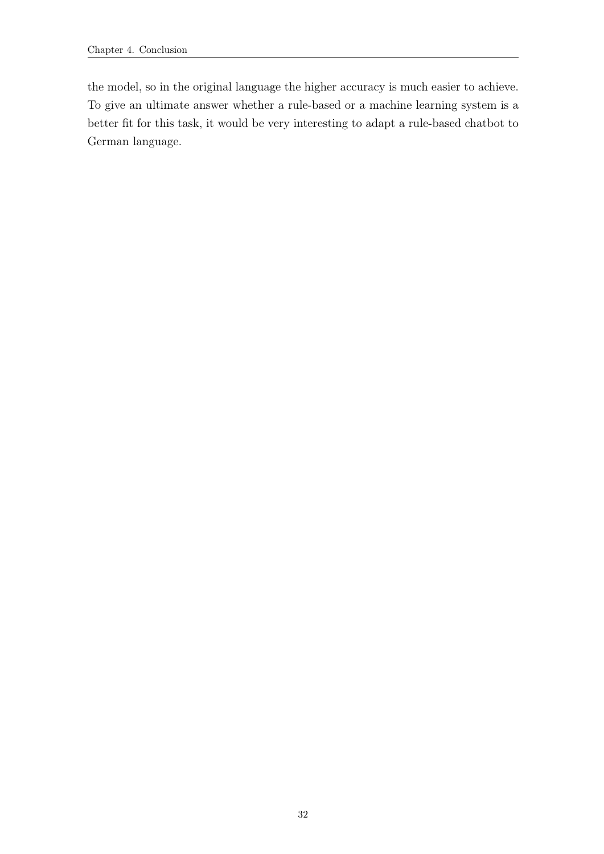the model, so in the original language the higher accuracy is much easier to achieve. To give an ultimate answer whether a rule-based or a machine learning system is a better fit for this task, it would be very interesting to adapt a rule-based chatbot to German language.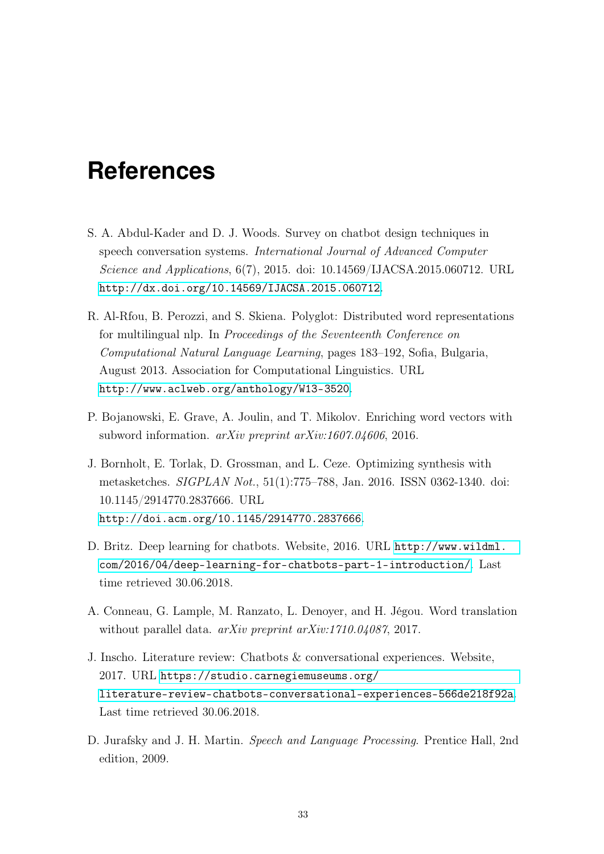# <span id="page-40-0"></span>**References**

- S. A. Abdul-Kader and D. J. Woods. Survey on chatbot design techniques in speech conversation systems. International Journal of Advanced Computer Science and Applications, 6(7), 2015. doi: 10.14569/IJACSA.2015.060712. URL <http://dx.doi.org/10.14569/IJACSA.2015.060712>.
- <span id="page-40-1"></span>R. Al-Rfou, B. Perozzi, and S. Skiena. Polyglot: Distributed word representations for multilingual nlp. In Proceedings of the Seventeenth Conference on Computational Natural Language Learning, pages 183–192, Sofia, Bulgaria, August 2013. Association for Computational Linguistics. URL <http://www.aclweb.org/anthology/W13-3520>.
- <span id="page-40-2"></span>P. Bojanowski, E. Grave, A. Joulin, and T. Mikolov. Enriching word vectors with subword information. arXiv preprint arXiv:1607.04606, 2016.
- J. Bornholt, E. Torlak, D. Grossman, and L. Ceze. Optimizing synthesis with metasketches. SIGPLAN Not., 51(1):775–788, Jan. 2016. ISSN 0362-1340. doi: 10.1145/2914770.2837666. URL <http://doi.acm.org/10.1145/2914770.2837666>.
- D. Britz. Deep learning for chatbots. Website, 2016. URL [http://www.wildml.](http://www.wildml.com/2016/04/deep-learning-for-chatbots-part-1-introduction/) [com/2016/04/deep-learning-for-chatbots-part-1-introduction/](http://www.wildml.com/2016/04/deep-learning-for-chatbots-part-1-introduction/). Last time retrieved 30.06.2018.
- <span id="page-40-3"></span>A. Conneau, G. Lample, M. Ranzato, L. Denoyer, and H. Jégou. Word translation without parallel data. *arXiv preprint arXiv:1710.04087*, 2017.
- J. Inscho. Literature review: Chatbots & conversational experiences. Website, 2017. URL [https://studio.carnegiemuseums.org/](https://studio.carnegiemuseums.org/literature-review-chatbots-conversational-experiences-566de218f92a) [literature-review-chatbots-conversational-experiences-566de218f92a](https://studio.carnegiemuseums.org/literature-review-chatbots-conversational-experiences-566de218f92a). Last time retrieved 30.06.2018.
- D. Jurafsky and J. H. Martin. Speech and Language Processing. Prentice Hall, 2nd edition, 2009.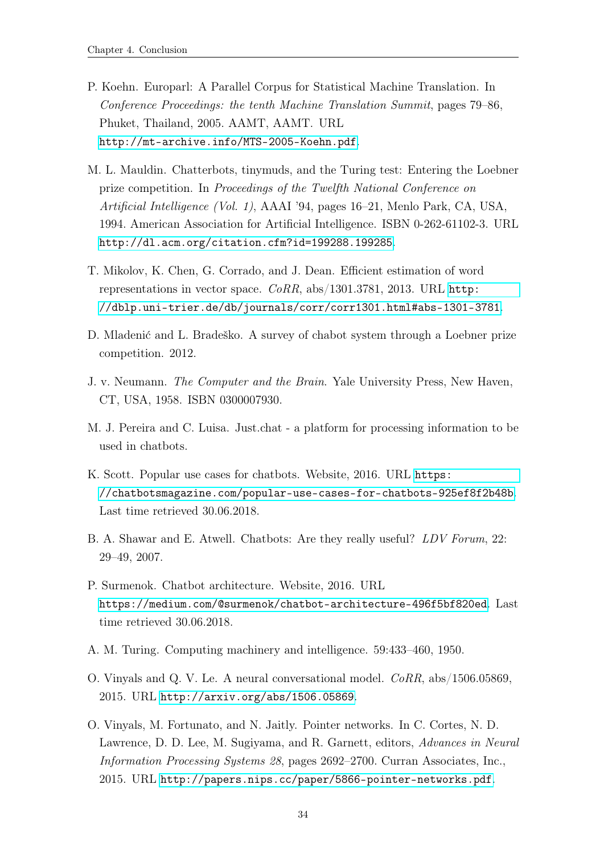- <span id="page-41-6"></span>P. Koehn. Europarl: A Parallel Corpus for Statistical Machine Translation. In Conference Proceedings: the tenth Machine Translation Summit, pages 79–86, Phuket, Thailand, 2005. AAMT, AAMT. URL <http://mt-archive.info/MTS-2005-Koehn.pdf>.
- M. L. Mauldin. Chatterbots, tinymuds, and the Turing test: Entering the Loebner prize competition. In Proceedings of the Twelfth National Conference on Artificial Intelligence (Vol. 1), AAAI '94, pages 16–21, Menlo Park, CA, USA, 1994. American Association for Artificial Intelligence. ISBN 0-262-61102-3. URL <http://dl.acm.org/citation.cfm?id=199288.199285>.
- <span id="page-41-7"></span>T. Mikolov, K. Chen, G. Corrado, and J. Dean. Efficient estimation of word representations in vector space. CoRR, abs/1301.3781, 2013. URL [http:](http://dblp.uni-trier.de/db/journals/corr/corr1301.html#abs-1301-3781) [//dblp.uni-trier.de/db/journals/corr/corr1301.html#abs-1301-3781](http://dblp.uni-trier.de/db/journals/corr/corr1301.html#abs-1301-3781).
- <span id="page-41-3"></span>D. Mladenić and L. Bradeško. A survey of chabot system through a Loebner prize competition. 2012.
- <span id="page-41-1"></span>J. v. Neumann. The Computer and the Brain. Yale University Press, New Haven, CT, USA, 1958. ISBN 0300007930.
- <span id="page-41-4"></span>M. J. Pereira and C. Luisa. Just.chat - a platform for processing information to be used in chatbots.
- K. Scott. Popular use cases for chatbots. Website, 2016. URL [https:](https://chatbotsmagazine.com/popular-use-cases-for-chatbots-925ef8f2b48b) [//chatbotsmagazine.com/popular-use-cases-for-chatbots-925ef8f2b48b](https://chatbotsmagazine.com/popular-use-cases-for-chatbots-925ef8f2b48b). Last time retrieved 30.06.2018.
- <span id="page-41-2"></span>B. A. Shawar and E. Atwell. Chatbots: Are they really useful? LDV Forum, 22: 29–49, 2007.
- P. Surmenok. Chatbot architecture. Website, 2016. URL <https://medium.com/@surmenok/chatbot-architecture-496f5bf820ed>. Last time retrieved 30.06.2018.
- <span id="page-41-0"></span>A. M. Turing. Computing machinery and intelligence. 59:433–460, 1950.
- O. Vinyals and Q. V. Le. A neural conversational model. CoRR, abs/1506.05869, 2015. URL <http://arxiv.org/abs/1506.05869>.
- <span id="page-41-5"></span>O. Vinyals, M. Fortunato, and N. Jaitly. Pointer networks. In C. Cortes, N. D. Lawrence, D. D. Lee, M. Sugiyama, and R. Garnett, editors, Advances in Neural Information Processing Systems 28, pages 2692–2700. Curran Associates, Inc., 2015. URL <http://papers.nips.cc/paper/5866-pointer-networks.pdf>.